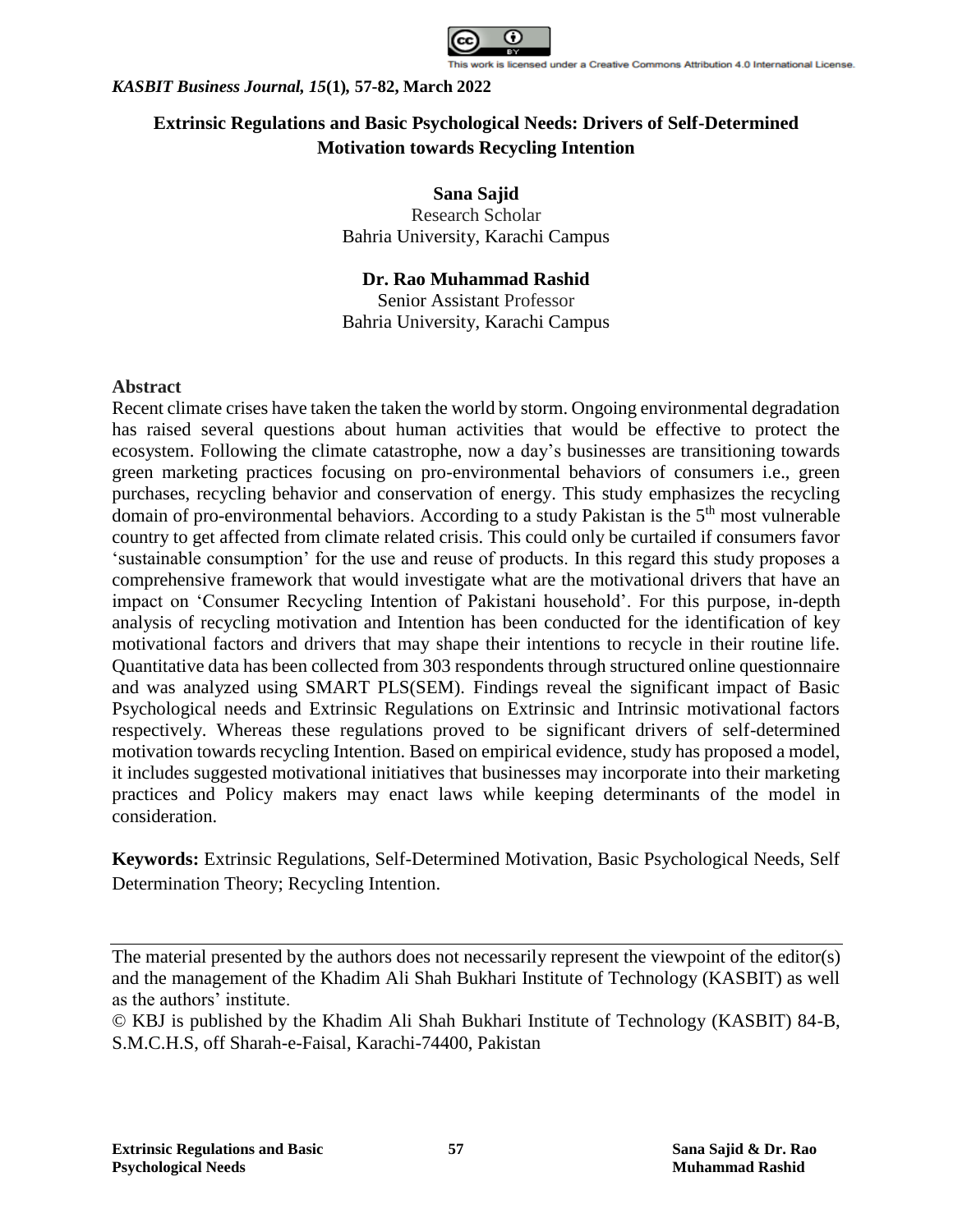

# **Extrinsic Regulations and Basic Psychological Needs: Drivers of Self-Determined Motivation towards Recycling Intention**

**Sana Sajid** Research Scholar Bahria University, Karachi Campus

**Dr. Rao Muhammad Rashid** Senior Assistant Professor Bahria University, Karachi Campus

# **Abstract**

Recent climate crises have taken the taken the world by storm. Ongoing environmental degradation has raised several questions about human activities that would be effective to protect the ecosystem. Following the climate catastrophe, now a day's businesses are transitioning towards green marketing practices focusing on pro-environmental behaviors of consumers i.e., green purchases, recycling behavior and conservation of energy. This study emphasizes the recycling domain of pro-environmental behaviors. According to a study Pakistan is the  $5<sup>th</sup>$  most vulnerable country to get affected from climate related crisis. This could only be curtailed if consumers favor 'sustainable consumption' for the use and reuse of products. In this regard this study proposes a comprehensive framework that would investigate what are the motivational drivers that have an impact on 'Consumer Recycling Intention of Pakistani household'. For this purpose, in-depth analysis of recycling motivation and Intention has been conducted for the identification of key motivational factors and drivers that may shape their intentions to recycle in their routine life. Quantitative data has been collected from 303 respondents through structured online questionnaire and was analyzed using SMART PLS(SEM). Findings reveal the significant impact of Basic Psychological needs and Extrinsic Regulations on Extrinsic and Intrinsic motivational factors respectively. Whereas these regulations proved to be significant drivers of self-determined motivation towards recycling Intention. Based on empirical evidence, study has proposed a model, it includes suggested motivational initiatives that businesses may incorporate into their marketing practices and Policy makers may enact laws while keeping determinants of the model in consideration.

**Keywords:** Extrinsic Regulations, Self-Determined Motivation, Basic Psychological Needs, Self Determination Theory; Recycling Intention.

The material presented by the authors does not necessarily represent the viewpoint of the editor(s) and the management of the Khadim Ali Shah Bukhari Institute of Technology (KASBIT) as well as the authors' institute.

<sup>©</sup> KBJ is published by the Khadim Ali Shah Bukhari Institute of Technology (KASBIT) 84-B, S.M.C.H.S, off Sharah-e-Faisal, Karachi-74400, Pakistan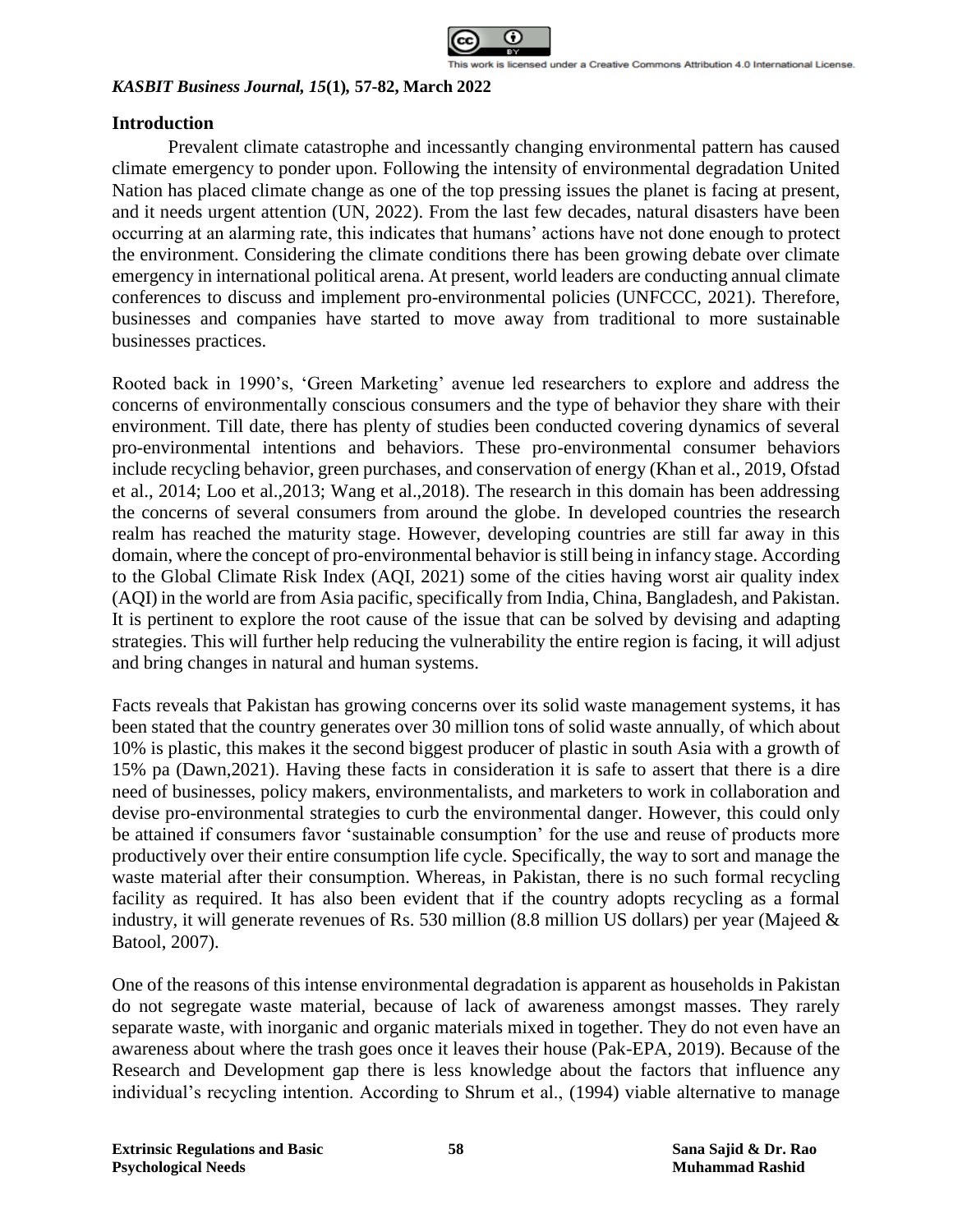

### **Introduction**

Prevalent climate catastrophe and incessantly changing environmental pattern has caused climate emergency to ponder upon. Following the intensity of environmental degradation United Nation has placed climate change as one of the top pressing issues the planet is facing at present, and it needs urgent attention (UN, 2022). From the last few decades, natural disasters have been occurring at an alarming rate, this indicates that humans' actions have not done enough to protect the environment. Considering the climate conditions there has been growing debate over climate emergency in international political arena. At present, world leaders are conducting annual climate conferences to discuss and implement pro-environmental policies (UNFCCC, 2021). Therefore, businesses and companies have started to move away from traditional to more sustainable businesses practices.

Rooted back in 1990's, 'Green Marketing' avenue led researchers to explore and address the concerns of environmentally conscious consumers and the type of behavior they share with their environment. Till date, there has plenty of studies been conducted covering dynamics of several pro-environmental intentions and behaviors. These pro-environmental consumer behaviors include recycling behavior, green purchases, and conservation of energy (Khan et al., 2019, Ofstad et al., 2014; Loo et al.,2013; Wang et al.,2018). The research in this domain has been addressing the concerns of several consumers from around the globe. In developed countries the research realm has reached the maturity stage. However, developing countries are still far away in this domain, where the concept of pro-environmental behavior is still being in infancy stage. According to the Global Climate Risk Index (AQI, 2021) some of the cities having worst air quality index (AQI) in the world are from Asia pacific, specifically from India, China, Bangladesh, and Pakistan. It is pertinent to explore the root cause of the issue that can be solved by devising and adapting strategies. This will further help reducing the vulnerability the entire region is facing, it will adjust and bring changes in natural and human systems.

Facts reveals that Pakistan has growing concerns over its solid waste management systems, it has been stated that the country generates over 30 million tons of solid waste annually, of which about 10% is plastic, this makes it the second biggest producer of plastic in south Asia with a growth of 15% pa (Dawn,2021). Having these facts in consideration it is safe to assert that there is a dire need of businesses, policy makers, environmentalists, and marketers to work in collaboration and devise pro-environmental strategies to curb the environmental danger. However, this could only be attained if consumers favor 'sustainable consumption' for the use and reuse of products more productively over their entire consumption life cycle. Specifically, the way to sort and manage the waste material after their consumption. Whereas, in Pakistan, there is no such formal recycling facility as required. It has also been evident that if the country adopts recycling as a formal industry, it will generate revenues of Rs. 530 million (8.8 million US dollars) per year (Majeed & Batool, 2007).

One of the reasons of this intense environmental degradation is apparent as households in Pakistan do not segregate waste material, because of lack of awareness amongst masses. They rarely separate waste, with inorganic and organic materials mixed in together. They do not even have an awareness about where the trash goes once it leaves their house (Pak-EPA, 2019). Because of the Research and Development gap there is less knowledge about the factors that influence any individual's recycling intention. According to Shrum et al., (1994) viable alternative to manage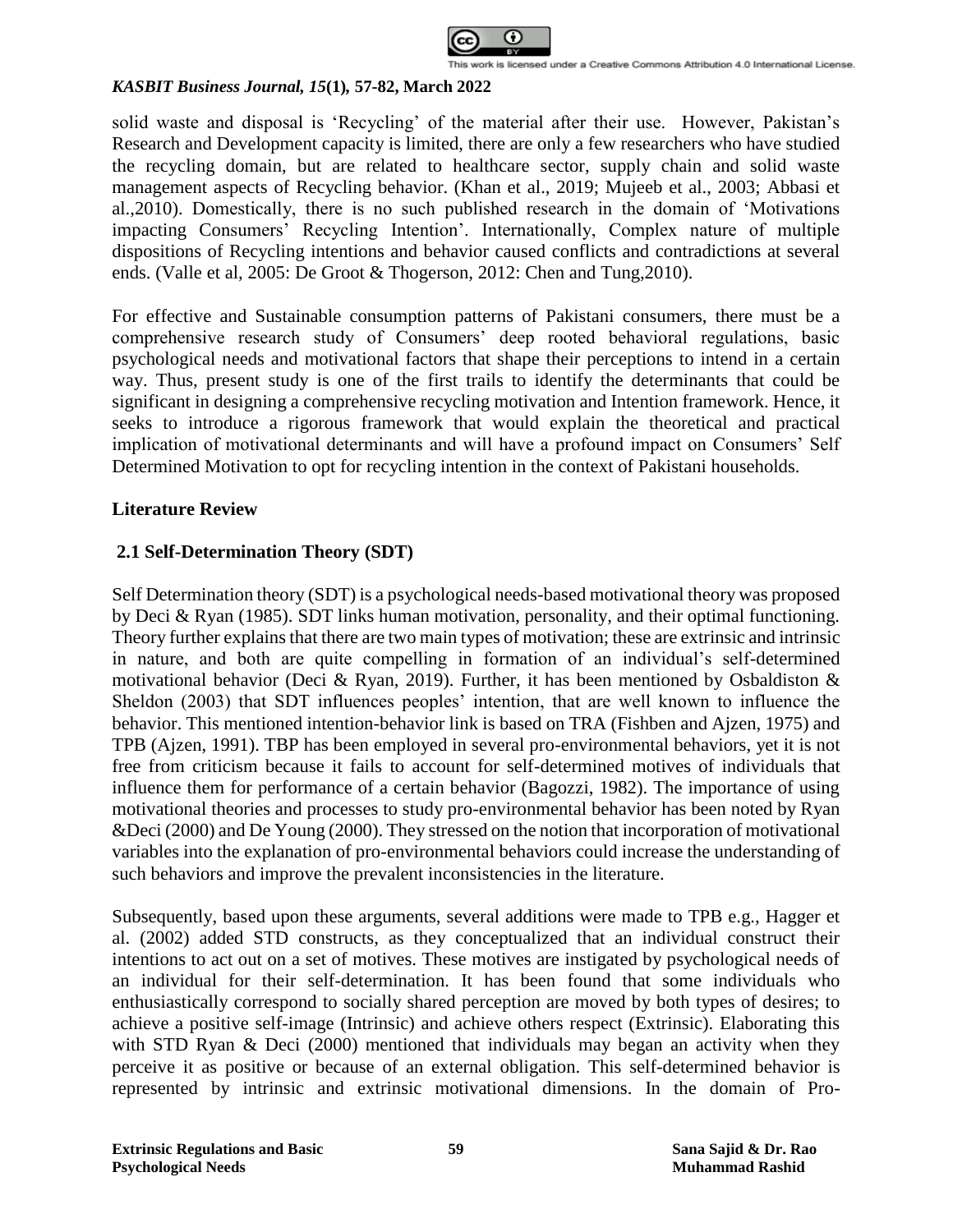

solid waste and disposal is 'Recycling' of the material after their use. However, Pakistan's Research and Development capacity is limited, there are only a few researchers who have studied the recycling domain, but are related to healthcare sector, supply chain and solid waste management aspects of Recycling behavior. (Khan et al., 2019; Mujeeb et al., 2003; Abbasi et al.,2010). Domestically, there is no such published research in the domain of 'Motivations impacting Consumers' Recycling Intention'. Internationally, Complex nature of multiple dispositions of Recycling intentions and behavior caused conflicts and contradictions at several ends. (Valle et al, 2005: De Groot & Thogerson, 2012: Chen and Tung,2010).

For effective and Sustainable consumption patterns of Pakistani consumers, there must be a comprehensive research study of Consumers' deep rooted behavioral regulations, basic psychological needs and motivational factors that shape their perceptions to intend in a certain way. Thus, present study is one of the first trails to identify the determinants that could be significant in designing a comprehensive recycling motivation and Intention framework. Hence, it seeks to introduce a rigorous framework that would explain the theoretical and practical implication of motivational determinants and will have a profound impact on Consumers' Self Determined Motivation to opt for recycling intention in the context of Pakistani households.

# **Literature Review**

# **2.1 Self-Determination Theory (SDT)**

Self Determination theory (SDT) is a psychological needs-based motivational theory was proposed by Deci & Ryan (1985). SDT links human motivation, personality, and their optimal functioning. Theory further explains that there are two main types of motivation; these are extrinsic and intrinsic in nature, and both are quite compelling in formation of an individual's self-determined motivational behavior (Deci & Ryan, 2019). Further, it has been mentioned by Osbaldiston & Sheldon (2003) that SDT influences peoples' intention, that are well known to influence the behavior. This mentioned intention-behavior link is based on TRA (Fishben and Ajzen, 1975) and TPB (Ajzen, 1991). TBP has been employed in several pro-environmental behaviors, yet it is not free from criticism because it fails to account for self-determined motives of individuals that influence them for performance of a certain behavior (Bagozzi, 1982). The importance of using motivational theories and processes to study pro-environmental behavior has been noted by Ryan &Deci (2000) and De Young (2000). They stressed on the notion that incorporation of motivational variables into the explanation of pro-environmental behaviors could increase the understanding of such behaviors and improve the prevalent inconsistencies in the literature.

Subsequently, based upon these arguments, several additions were made to TPB e.g., Hagger et al. (2002) added STD constructs, as they conceptualized that an individual construct their intentions to act out on a set of motives. These motives are instigated by psychological needs of an individual for their self-determination. It has been found that some individuals who enthusiastically correspond to socially shared perception are moved by both types of desires; to achieve a positive self-image (Intrinsic) and achieve others respect (Extrinsic). Elaborating this with STD Ryan & Deci (2000) mentioned that individuals may began an activity when they perceive it as positive or because of an external obligation. This self-determined behavior is represented by intrinsic and extrinsic motivational dimensions. In the domain of Pro-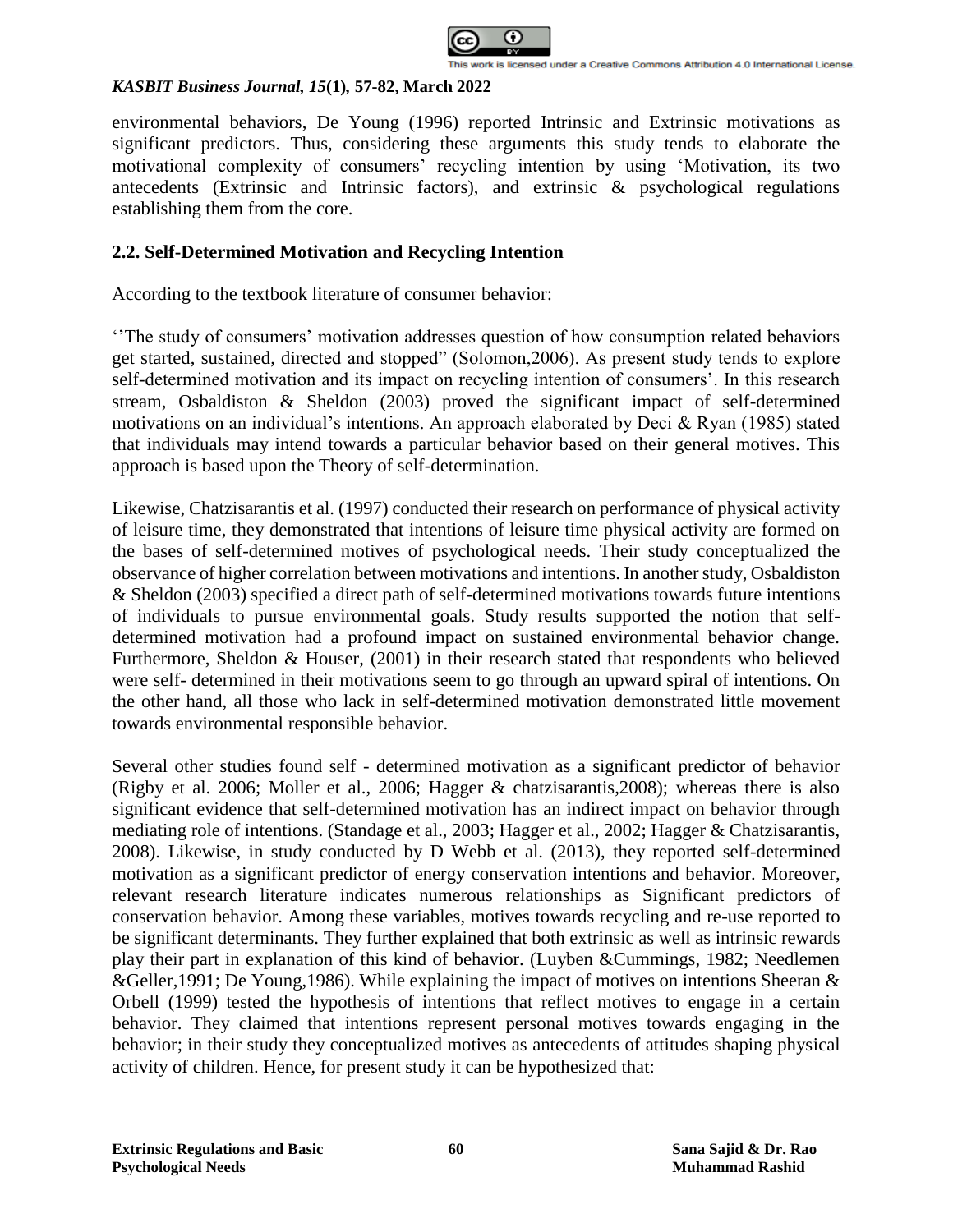

environmental behaviors, De Young (1996) reported Intrinsic and Extrinsic motivations as significant predictors. Thus, considering these arguments this study tends to elaborate the motivational complexity of consumers' recycling intention by using 'Motivation, its two antecedents (Extrinsic and Intrinsic factors), and extrinsic & psychological regulations establishing them from the core.

# **2.2. Self-Determined Motivation and Recycling Intention**

According to the textbook literature of consumer behavior:

''The study of consumers' motivation addresses question of how consumption related behaviors get started, sustained, directed and stopped" (Solomon,2006). As present study tends to explore self-determined motivation and its impact on recycling intention of consumers'. In this research stream, Osbaldiston & Sheldon (2003) proved the significant impact of self-determined motivations on an individual's intentions. An approach elaborated by Deci & Ryan (1985) stated that individuals may intend towards a particular behavior based on their general motives. This approach is based upon the Theory of self-determination.

Likewise, Chatzisarantis et al. (1997) conducted their research on performance of physical activity of leisure time, they demonstrated that intentions of leisure time physical activity are formed on the bases of self-determined motives of psychological needs. Their study conceptualized the observance of higher correlation between motivations and intentions. In another study, Osbaldiston & Sheldon (2003) specified a direct path of self-determined motivations towards future intentions of individuals to pursue environmental goals. Study results supported the notion that selfdetermined motivation had a profound impact on sustained environmental behavior change. Furthermore, Sheldon & Houser, (2001) in their research stated that respondents who believed were self- determined in their motivations seem to go through an upward spiral of intentions. On the other hand, all those who lack in self-determined motivation demonstrated little movement towards environmental responsible behavior.

Several other studies found self - determined motivation as a significant predictor of behavior (Rigby et al. 2006; Moller et al., 2006; Hagger & chatzisarantis,2008); whereas there is also significant evidence that self-determined motivation has an indirect impact on behavior through mediating role of intentions. (Standage et al., 2003; Hagger et al., 2002; Hagger & Chatzisarantis, 2008). Likewise, in study conducted by D Webb et al. (2013), they reported self-determined motivation as a significant predictor of energy conservation intentions and behavior. Moreover, relevant research literature indicates numerous relationships as Significant predictors of conservation behavior. Among these variables, motives towards recycling and re-use reported to be significant determinants. They further explained that both extrinsic as well as intrinsic rewards play their part in explanation of this kind of behavior. (Luyben &Cummings, 1982; Needlemen &Geller,1991; De Young,1986). While explaining the impact of motives on intentions Sheeran & Orbell (1999) tested the hypothesis of intentions that reflect motives to engage in a certain behavior. They claimed that intentions represent personal motives towards engaging in the behavior; in their study they conceptualized motives as antecedents of attitudes shaping physical activity of children. Hence, for present study it can be hypothesized that: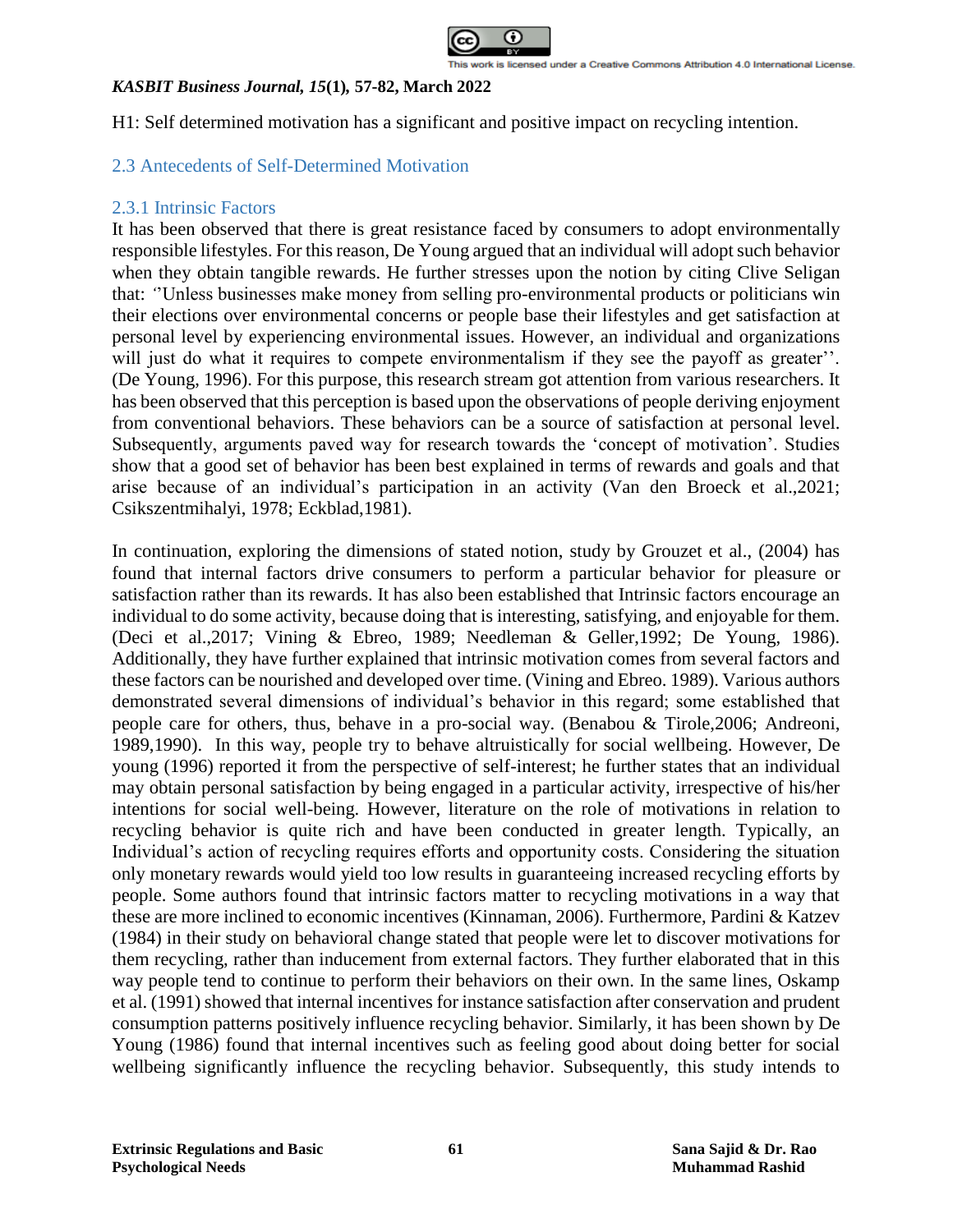

H1: Self determined motivation has a significant and positive impact on recycling intention.

# 2.3 Antecedents of Self-Determined Motivation

## 2.3.1 Intrinsic Factors

It has been observed that there is great resistance faced by consumers to adopt environmentally responsible lifestyles. For this reason, De Young argued that an individual will adopt such behavior when they obtain tangible rewards. He further stresses upon the notion by citing Clive Seligan that: *'*'Unless businesses make money from selling pro-environmental products or politicians win their elections over environmental concerns or people base their lifestyles and get satisfaction at personal level by experiencing environmental issues. However, an individual and organizations will just do what it requires to compete environmentalism if they see the payoff as greater". (De Young, 1996). For this purpose, this research stream got attention from various researchers. It has been observed that this perception is based upon the observations of people deriving enjoyment from conventional behaviors. These behaviors can be a source of satisfaction at personal level. Subsequently, arguments paved way for research towards the 'concept of motivation'. Studies show that a good set of behavior has been best explained in terms of rewards and goals and that arise because of an individual's participation in an activity (Van den Broeck et al.,2021; Csikszentmihalyi, 1978; Eckblad,1981).

In continuation, exploring the dimensions of stated notion, study by Grouzet et al., (2004) has found that internal factors drive consumers to perform a particular behavior for pleasure or satisfaction rather than its rewards. It has also been established that Intrinsic factors encourage an individual to do some activity, because doing that is interesting, satisfying, and enjoyable for them. (Deci et al.,2017; Vining & Ebreo, 1989; Needleman & Geller,1992; De Young, 1986). Additionally, they have further explained that intrinsic motivation comes from several factors and these factors can be nourished and developed over time. (Vining and Ebreo. 1989). Various authors demonstrated several dimensions of individual's behavior in this regard; some established that people care for others, thus, behave in a pro-social way. (Benabou & Tirole,2006; Andreoni, 1989,1990). In this way, people try to behave altruistically for social wellbeing. However, De young (1996) reported it from the perspective of self-interest; he further states that an individual may obtain personal satisfaction by being engaged in a particular activity, irrespective of his/her intentions for social well-being. However, literature on the role of motivations in relation to recycling behavior is quite rich and have been conducted in greater length. Typically, an Individual's action of recycling requires efforts and opportunity costs. Considering the situation only monetary rewards would yield too low results in guaranteeing increased recycling efforts by people. Some authors found that intrinsic factors matter to recycling motivations in a way that these are more inclined to economic incentives (Kinnaman, 2006). Furthermore, Pardini & Katzev (1984) in their study on behavioral change stated that people were let to discover motivations for them recycling, rather than inducement from external factors. They further elaborated that in this way people tend to continue to perform their behaviors on their own. In the same lines, Oskamp et al. (1991) showed that internal incentives for instance satisfaction after conservation and prudent consumption patterns positively influence recycling behavior. Similarly, it has been shown by De Young (1986) found that internal incentives such as feeling good about doing better for social wellbeing significantly influence the recycling behavior. Subsequently, this study intends to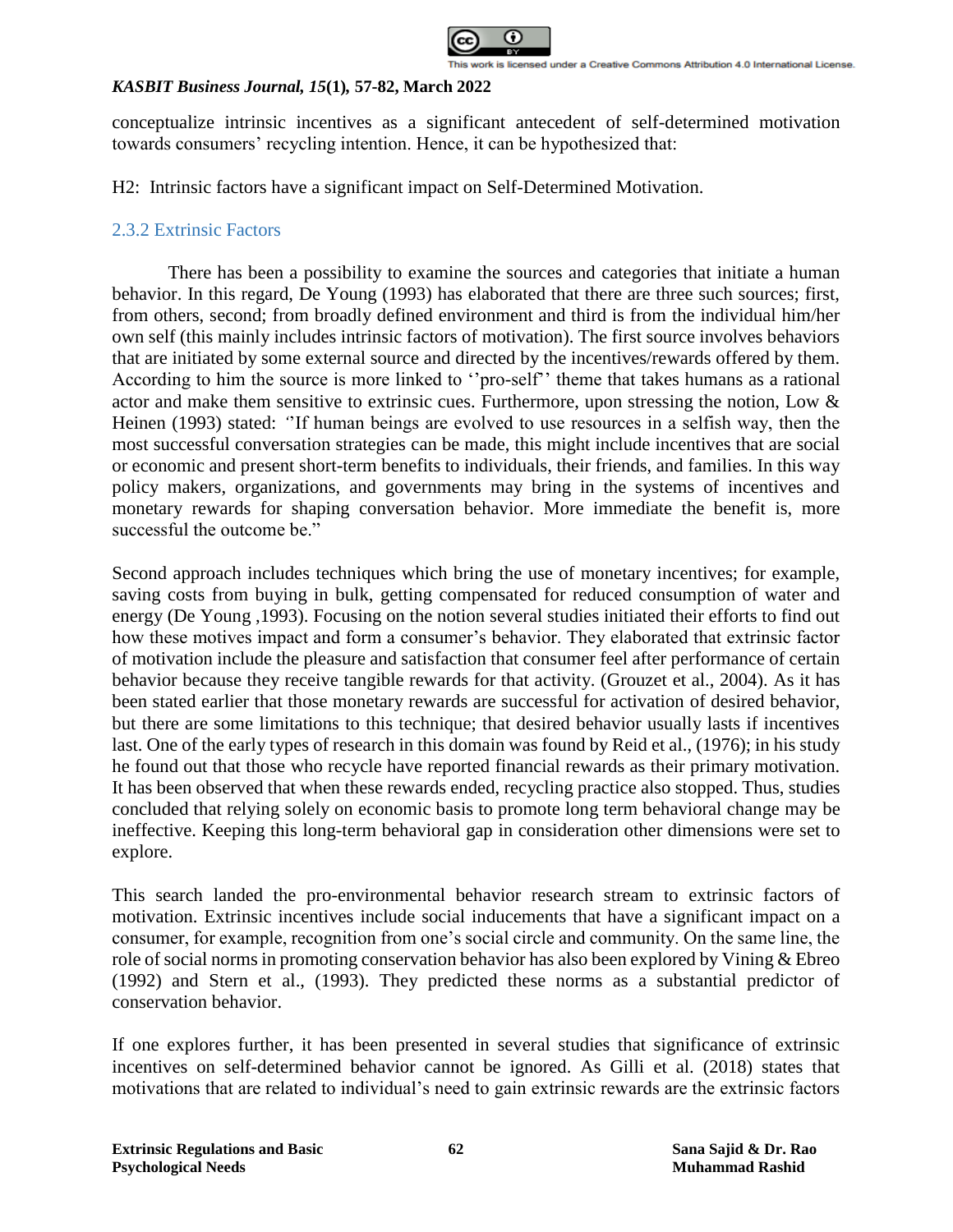

conceptualize intrinsic incentives as a significant antecedent of self-determined motivation towards consumers' recycling intention. Hence, it can be hypothesized that:

H2: Intrinsic factors have a significant impact on Self-Determined Motivation.

# 2.3.2 Extrinsic Factors

There has been a possibility to examine the sources and categories that initiate a human behavior. In this regard, De Young (1993) has elaborated that there are three such sources; first, from others, second; from broadly defined environment and third is from the individual him/her own self (this mainly includes intrinsic factors of motivation). The first source involves behaviors that are initiated by some external source and directed by the incentives/rewards offered by them. According to him the source is more linked to ''pro-self'' theme that takes humans as a rational actor and make them sensitive to extrinsic cues. Furthermore, upon stressing the notion, Low & Heinen (1993) stated: *'*'If human beings are evolved to use resources in a selfish way, then the most successful conversation strategies can be made, this might include incentives that are social or economic and present short-term benefits to individuals, their friends, and families. In this way policy makers, organizations, and governments may bring in the systems of incentives and monetary rewards for shaping conversation behavior. More immediate the benefit is, more successful the outcome be."

Second approach includes techniques which bring the use of monetary incentives; for example, saving costs from buying in bulk, getting compensated for reduced consumption of water and energy (De Young ,1993). Focusing on the notion several studies initiated their efforts to find out how these motives impact and form a consumer's behavior. They elaborated that extrinsic factor of motivation include the pleasure and satisfaction that consumer feel after performance of certain behavior because they receive tangible rewards for that activity. (Grouzet et al., 2004). As it has been stated earlier that those monetary rewards are successful for activation of desired behavior, but there are some limitations to this technique; that desired behavior usually lasts if incentives last. One of the early types of research in this domain was found by Reid et al., (1976); in his study he found out that those who recycle have reported financial rewards as their primary motivation. It has been observed that when these rewards ended, recycling practice also stopped. Thus, studies concluded that relying solely on economic basis to promote long term behavioral change may be ineffective. Keeping this long-term behavioral gap in consideration other dimensions were set to explore.

This search landed the pro-environmental behavior research stream to extrinsic factors of motivation. Extrinsic incentives include social inducements that have a significant impact on a consumer, for example, recognition from one's social circle and community. On the same line, the role of social norms in promoting conservation behavior has also been explored by Vining & Ebreo (1992) and Stern et al., (1993). They predicted these norms as a substantial predictor of conservation behavior.

If one explores further, it has been presented in several studies that significance of extrinsic incentives on self-determined behavior cannot be ignored. As Gilli et al. (2018) states that motivations that are related to individual's need to gain extrinsic rewards are the extrinsic factors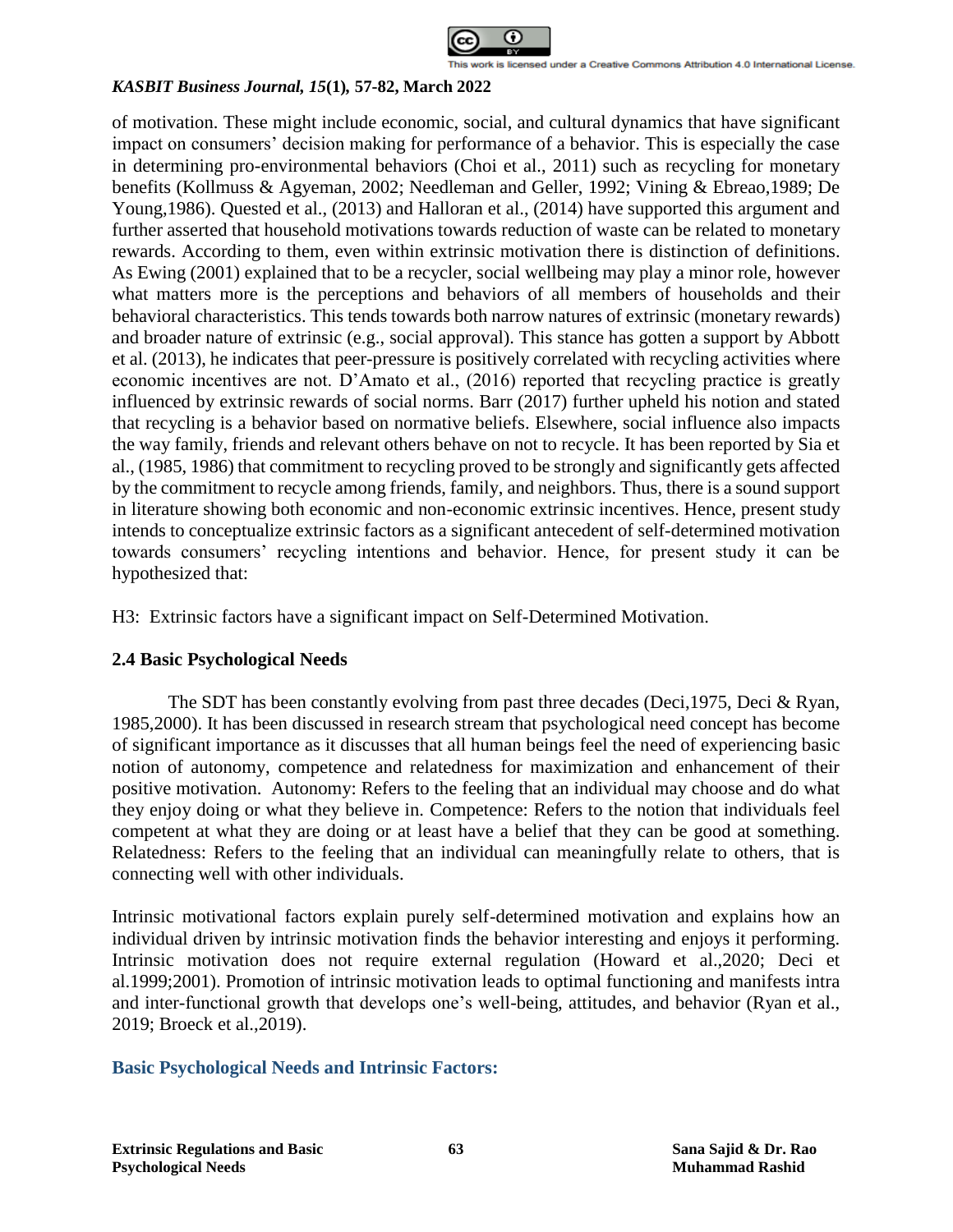

of motivation. These might include economic, social, and cultural dynamics that have significant impact on consumers' decision making for performance of a behavior. This is especially the case in determining pro-environmental behaviors (Choi et al., 2011) such as recycling for monetary benefits (Kollmuss & Agyeman, 2002; Needleman and Geller, 1992; Vining & Ebreao,1989; De Young,1986). Quested et al., (2013) and Halloran et al., (2014) have supported this argument and further asserted that household motivations towards reduction of waste can be related to monetary rewards. According to them, even within extrinsic motivation there is distinction of definitions. As Ewing (2001) explained that to be a recycler, social wellbeing may play a minor role, however what matters more is the perceptions and behaviors of all members of households and their behavioral characteristics. This tends towards both narrow natures of extrinsic (monetary rewards) and broader nature of extrinsic (e.g., social approval). This stance has gotten a support by Abbott et al. (2013), he indicates that peer-pressure is positively correlated with recycling activities where economic incentives are not. D'Amato et al., (2016) reported that recycling practice is greatly influenced by extrinsic rewards of social norms. Barr (2017) further upheld his notion and stated that recycling is a behavior based on normative beliefs. Elsewhere, social influence also impacts the way family, friends and relevant others behave on not to recycle. It has been reported by Sia et al., (1985, 1986) that commitment to recycling proved to be strongly and significantly gets affected by the commitment to recycle among friends, family, and neighbors. Thus, there is a sound support in literature showing both economic and non-economic extrinsic incentives. Hence, present study intends to conceptualize extrinsic factors as a significant antecedent of self-determined motivation towards consumers' recycling intentions and behavior. Hence, for present study it can be hypothesized that:

H3: Extrinsic factors have a significant impact on Self-Determined Motivation.

# **2.4 Basic Psychological Needs**

The SDT has been constantly evolving from past three decades (Deci,1975, Deci & Ryan, 1985,2000). It has been discussed in research stream that psychological need concept has become of significant importance as it discusses that all human beings feel the need of experiencing basic notion of autonomy, competence and relatedness for maximization and enhancement of their positive motivation. Autonomy: Refers to the feeling that an individual may choose and do what they enjoy doing or what they believe in. Competence: Refers to the notion that individuals feel competent at what they are doing or at least have a belief that they can be good at something. Relatedness: Refers to the feeling that an individual can meaningfully relate to others, that is connecting well with other individuals.

Intrinsic motivational factors explain purely self-determined motivation and explains how an individual driven by intrinsic motivation finds the behavior interesting and enjoys it performing. Intrinsic motivation does not require external regulation (Howard et al.,2020; Deci et al.1999;2001). Promotion of intrinsic motivation leads to optimal functioning and manifests intra and inter-functional growth that develops one's well-being, attitudes, and behavior (Ryan et al., 2019; Broeck et al.,2019).

# **Basic Psychological Needs and Intrinsic Factors:**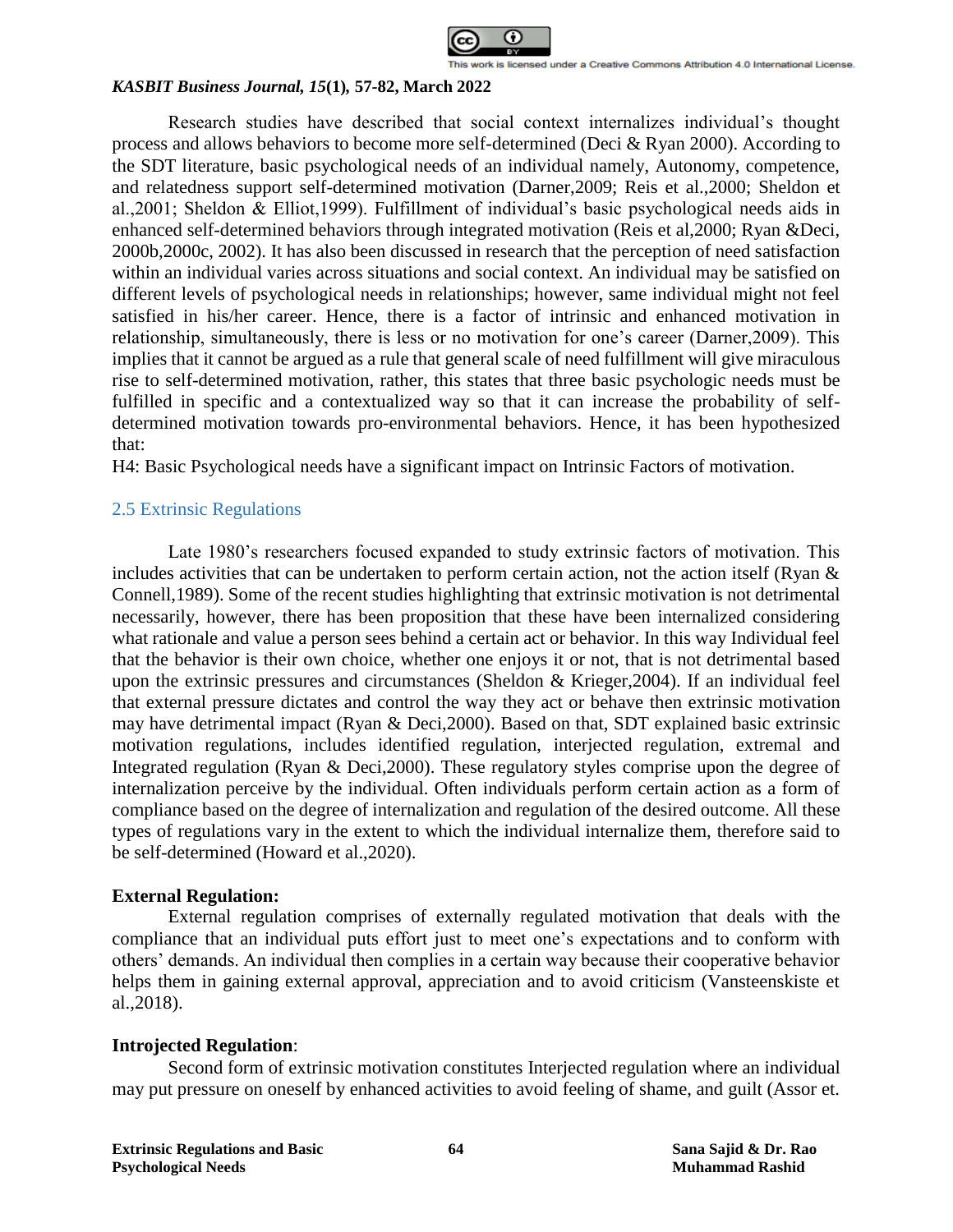

Research studies have described that social context internalizes individual's thought process and allows behaviors to become more self-determined (Deci & Ryan 2000). According to the SDT literature, basic psychological needs of an individual namely, Autonomy, competence, and relatedness support self-determined motivation (Darner,2009; Reis et al.,2000; Sheldon et al.,2001; Sheldon & Elliot,1999). Fulfillment of individual's basic psychological needs aids in enhanced self-determined behaviors through integrated motivation (Reis et al,2000; Ryan &Deci, 2000b,2000c, 2002). It has also been discussed in research that the perception of need satisfaction within an individual varies across situations and social context. An individual may be satisfied on different levels of psychological needs in relationships; however, same individual might not feel satisfied in his/her career. Hence, there is a factor of intrinsic and enhanced motivation in relationship, simultaneously, there is less or no motivation for one's career (Darner,2009). This implies that it cannot be argued as a rule that general scale of need fulfillment will give miraculous rise to self-determined motivation, rather, this states that three basic psychologic needs must be fulfilled in specific and a contextualized way so that it can increase the probability of selfdetermined motivation towards pro-environmental behaviors. Hence, it has been hypothesized that:

H4: Basic Psychological needs have a significant impact on Intrinsic Factors of motivation.

### 2.5 Extrinsic Regulations

Late 1980's researchers focused expanded to study extrinsic factors of motivation. This includes activities that can be undertaken to perform certain action, not the action itself (Ryan & Connell,1989). Some of the recent studies highlighting that extrinsic motivation is not detrimental necessarily, however, there has been proposition that these have been internalized considering what rationale and value a person sees behind a certain act or behavior. In this way Individual feel that the behavior is their own choice, whether one enjoys it or not, that is not detrimental based upon the extrinsic pressures and circumstances (Sheldon & Krieger,2004). If an individual feel that external pressure dictates and control the way they act or behave then extrinsic motivation may have detrimental impact (Ryan & Deci,2000). Based on that, SDT explained basic extrinsic motivation regulations, includes identified regulation, interjected regulation, extremal and Integrated regulation (Ryan & Deci,2000). These regulatory styles comprise upon the degree of internalization perceive by the individual. Often individuals perform certain action as a form of compliance based on the degree of internalization and regulation of the desired outcome. All these types of regulations vary in the extent to which the individual internalize them, therefore said to be self-determined (Howard et al.,2020).

### **External Regulation:**

External regulation comprises of externally regulated motivation that deals with the compliance that an individual puts effort just to meet one's expectations and to conform with others' demands. An individual then complies in a certain way because their cooperative behavior helps them in gaining external approval, appreciation and to avoid criticism (Vansteenskiste et al.,2018).

### **Introjected Regulation**:

Second form of extrinsic motivation constitutes Interjected regulation where an individual may put pressure on oneself by enhanced activities to avoid feeling of shame, and guilt (Assor et.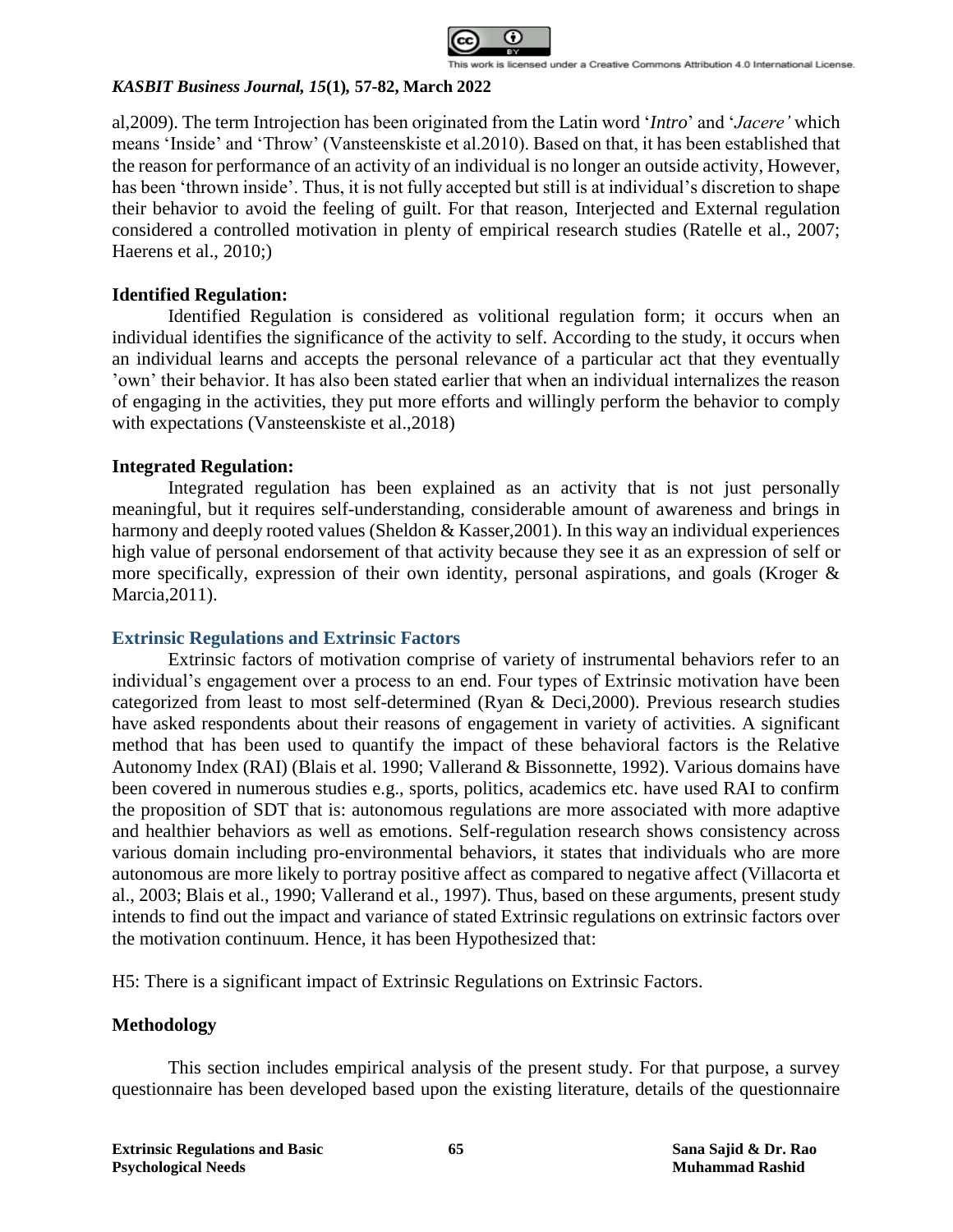

al,2009). The term Introjection has been originated from the Latin word '*Intro*' and '*Jacere'* which means 'Inside' and 'Throw' (Vansteenskiste et al.2010). Based on that, it has been established that the reason for performance of an activity of an individual is no longer an outside activity, However, has been 'thrown inside'. Thus, it is not fully accepted but still is at individual's discretion to shape their behavior to avoid the feeling of guilt. For that reason, Interjected and External regulation considered a controlled motivation in plenty of empirical research studies (Ratelle et al., 2007; Haerens et al., 2010;)

# **Identified Regulation:**

Identified Regulation is considered as volitional regulation form; it occurs when an individual identifies the significance of the activity to self. According to the study, it occurs when an individual learns and accepts the personal relevance of a particular act that they eventually 'own' their behavior. It has also been stated earlier that when an individual internalizes the reason of engaging in the activities, they put more efforts and willingly perform the behavior to comply with expectations (Vansteenskiste et al.,2018)

### **Integrated Regulation:**

Integrated regulation has been explained as an activity that is not just personally meaningful, but it requires self-understanding, considerable amount of awareness and brings in harmony and deeply rooted values (Sheldon & Kasser, 2001). In this way an individual experiences high value of personal endorsement of that activity because they see it as an expression of self or more specifically, expression of their own identity, personal aspirations, and goals (Kroger & Marcia,2011).

### **Extrinsic Regulations and Extrinsic Factors**

Extrinsic factors of motivation comprise of variety of instrumental behaviors refer to an individual's engagement over a process to an end. Four types of Extrinsic motivation have been categorized from least to most self-determined (Ryan & Deci,2000). Previous research studies have asked respondents about their reasons of engagement in variety of activities. A significant method that has been used to quantify the impact of these behavioral factors is the Relative Autonomy Index (RAI) (Blais et al. 1990; Vallerand & Bissonnette, 1992). Various domains have been covered in numerous studies e.g., sports, politics, academics etc. have used RAI to confirm the proposition of SDT that is: autonomous regulations are more associated with more adaptive and healthier behaviors as well as emotions. Self-regulation research shows consistency across various domain including pro-environmental behaviors, it states that individuals who are more autonomous are more likely to portray positive affect as compared to negative affect (Villacorta et al., 2003; Blais et al., 1990; Vallerand et al., 1997). Thus, based on these arguments, present study intends to find out the impact and variance of stated Extrinsic regulations on extrinsic factors over the motivation continuum. Hence, it has been Hypothesized that:

H5: There is a significant impact of Extrinsic Regulations on Extrinsic Factors.

### **Methodology**

This section includes empirical analysis of the present study. For that purpose, a survey questionnaire has been developed based upon the existing literature, details of the questionnaire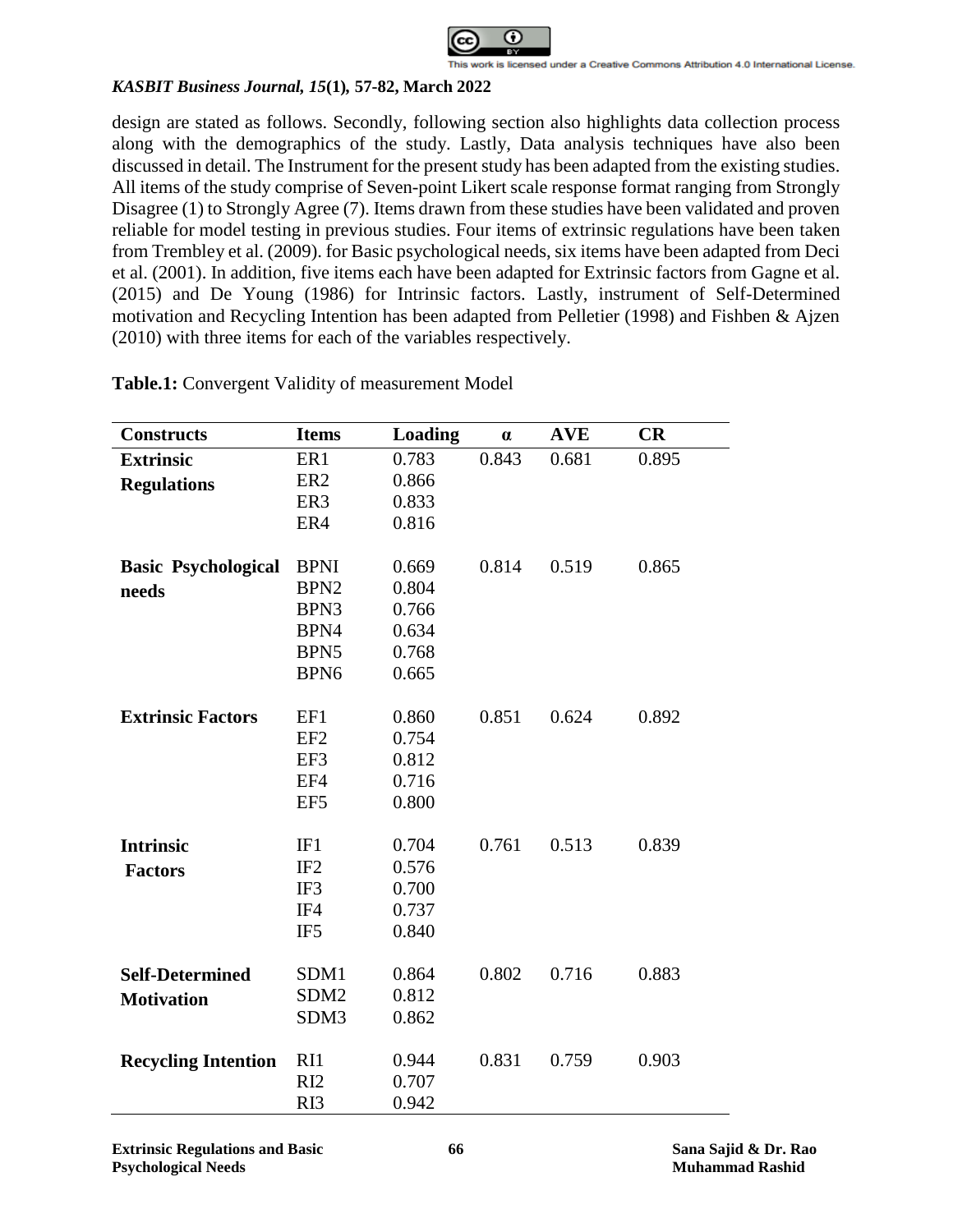

design are stated as follows. Secondly, following section also highlights data collection process along with the demographics of the study. Lastly, Data analysis techniques have also been discussed in detail. The Instrument for the present study has been adapted from the existing studies. All items of the study comprise of Seven-point Likert scale response format ranging from Strongly Disagree (1) to Strongly Agree (7). Items drawn from these studies have been validated and proven reliable for model testing in previous studies. Four items of extrinsic regulations have been taken from Trembley et al. (2009). for Basic psychological needs, six items have been adapted from Deci et al. (2001). In addition, five items each have been adapted for Extrinsic factors from Gagne et al. (2015) and De Young (1986) for Intrinsic factors. Lastly, instrument of Self-Determined motivation and Recycling Intention has been adapted from Pelletier (1998) and Fishben & Ajzen (2010) with three items for each of the variables respectively.

| <b>Constructs</b>          | <b>Items</b>     | <b>Loading</b> | $\alpha$ | <b>AVE</b> | <b>CR</b> |
|----------------------------|------------------|----------------|----------|------------|-----------|
| <b>Extrinsic</b>           | ER1              | 0.783          | 0.843    | 0.681      | 0.895     |
| <b>Regulations</b>         | ER <sub>2</sub>  | 0.866          |          |            |           |
|                            | ER3              | 0.833          |          |            |           |
|                            | ER4              | 0.816          |          |            |           |
|                            |                  |                |          |            |           |
| <b>Basic Psychological</b> | <b>BPNI</b>      | 0.669          | 0.814    | 0.519      | 0.865     |
| needs                      | BPN <sub>2</sub> | 0.804          |          |            |           |
|                            | BPN3             | 0.766          |          |            |           |
|                            | BPN4             | 0.634          |          |            |           |
|                            | BPN5             | 0.768          |          |            |           |
|                            | BPN <sub>6</sub> | 0.665          |          |            |           |
|                            |                  |                |          |            |           |
| <b>Extrinsic Factors</b>   | EF1              | 0.860          | 0.851    | 0.624      | 0.892     |
|                            | EF <sub>2</sub>  | 0.754          |          |            |           |
|                            | EF3              | 0.812          |          |            |           |
|                            | EF4              | 0.716          |          |            |           |
|                            | EF <sub>5</sub>  | 0.800          |          |            |           |
|                            |                  |                |          |            |           |
| <b>Intrinsic</b>           | IF1              | 0.704          | 0.761    | 0.513      | 0.839     |
| <b>Factors</b>             | IF <sub>2</sub>  | 0.576          |          |            |           |
|                            | IF3              | 0.700          |          |            |           |
|                            | IF4              | 0.737          |          |            |           |
|                            | IF <sub>5</sub>  | 0.840          |          |            |           |
|                            |                  |                |          |            |           |
| <b>Self-Determined</b>     | SDM1             | 0.864          | 0.802    | 0.716      | 0.883     |
| <b>Motivation</b>          | SDM <sub>2</sub> | 0.812          |          |            |           |
|                            | SDM3             | 0.862          |          |            |           |
|                            |                  |                |          |            |           |
| <b>Recycling Intention</b> | R <sub>11</sub>  | 0.944          | 0.831    | 0.759      | 0.903     |
|                            | RI2              | 0.707          |          |            |           |
|                            | RI3              | 0.942          |          |            |           |

**Table.1:** Convergent Validity of measurement Model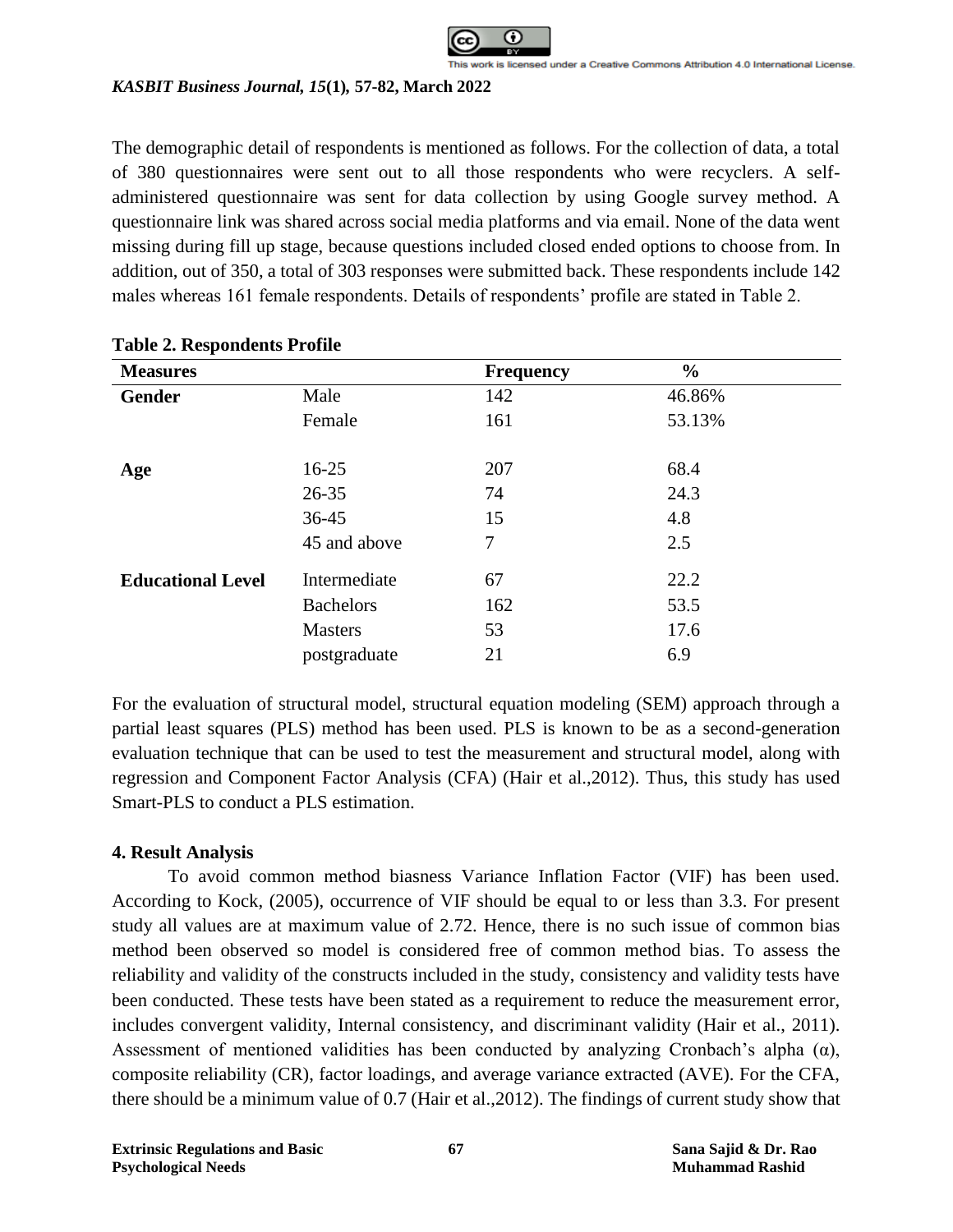

The demographic detail of respondents is mentioned as follows. For the collection of data, a total of 380 questionnaires were sent out to all those respondents who were recyclers. A selfadministered questionnaire was sent for data collection by using Google survey method. A questionnaire link was shared across social media platforms and via email. None of the data went missing during fill up stage, because questions included closed ended options to choose from. In addition, out of 350, a total of 303 responses were submitted back. These respondents include 142 males whereas 161 female respondents. Details of respondents' profile are stated in Table 2.

| -<br><b>Measures</b>     |                  | <b>Frequency</b> | $\frac{6}{6}$ |
|--------------------------|------------------|------------------|---------------|
| Gender                   | Male             | 142              | 46.86%        |
|                          | Female           | 161              | 53.13%        |
| Age                      | $16 - 25$        | 207              | 68.4          |
|                          | $26 - 35$        | 74               | 24.3          |
|                          | $36 - 45$        | 15               | 4.8           |
|                          | 45 and above     | 7                | 2.5           |
| <b>Educational Level</b> | Intermediate     | 67               | 22.2          |
|                          | <b>Bachelors</b> | 162              | 53.5          |
|                          | <b>Masters</b>   | 53               | 17.6          |
|                          | postgraduate     | 21               | 6.9           |

### **Table 2. Respondents Profile**

For the evaluation of structural model, structural equation modeling (SEM) approach through a partial least squares (PLS) method has been used. PLS is known to be as a second-generation evaluation technique that can be used to test the measurement and structural model, along with regression and Component Factor Analysis (CFA) (Hair et al.,2012). Thus, this study has used Smart-PLS to conduct a PLS estimation.

### **4. Result Analysis**

To avoid common method biasness Variance Inflation Factor (VIF) has been used. According to Kock, (2005), occurrence of VIF should be equal to or less than 3.3. For present study all values are at maximum value of 2.72. Hence, there is no such issue of common bias method been observed so model is considered free of common method bias. To assess the reliability and validity of the constructs included in the study, consistency and validity tests have been conducted. These tests have been stated as a requirement to reduce the measurement error, includes convergent validity, Internal consistency, and discriminant validity (Hair et al., 2011). Assessment of mentioned validities has been conducted by analyzing Cronbach's alpha  $(\alpha)$ , composite reliability (CR), factor loadings, and average variance extracted (AVE). For the CFA, there should be a minimum value of 0.7 (Hair et al.,2012). The findings of current study show that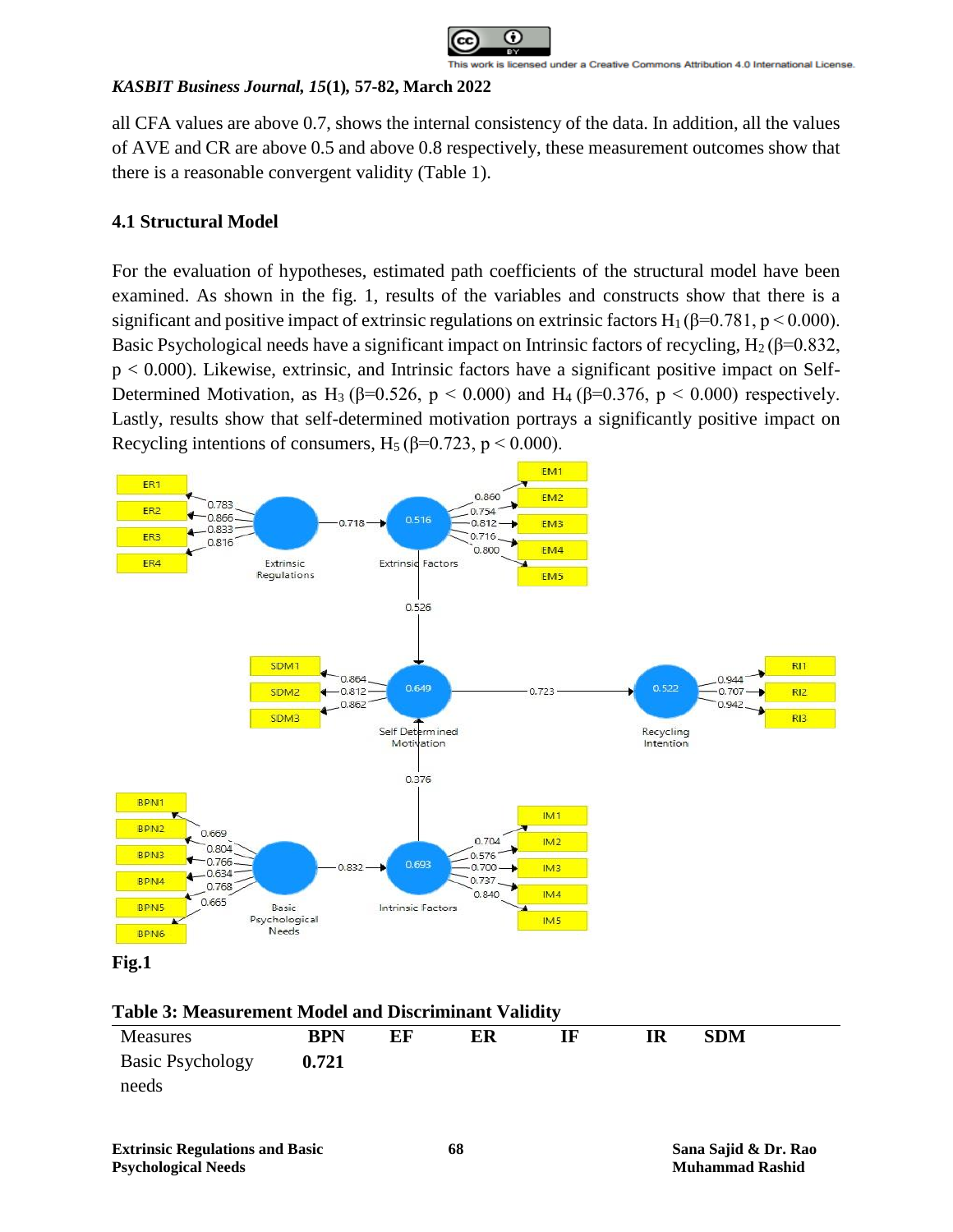

all CFA values are above 0.7, shows the internal consistency of the data. In addition, all the values of AVE and CR are above 0.5 and above 0.8 respectively, these measurement outcomes show that there is a reasonable convergent validity (Table 1).

# **4.1 Structural Model**

For the evaluation of hypotheses, estimated path coefficients of the structural model have been examined. As shown in the fig. 1, results of the variables and constructs show that there is a significant and positive impact of extrinsic regulations on extrinsic factors  $H_1 (\beta = 0.781, p \le 0.000)$ . Basic Psychological needs have a significant impact on Intrinsic factors of recycling,  $H_2(\beta=0.832)$ , p < 0.000). Likewise, extrinsic, and Intrinsic factors have a significant positive impact on Self-Determined Motivation, as H<sub>3</sub> ( $\beta$ =0.526, p < 0.000) and H<sub>4</sub> ( $\beta$ =0.376, p < 0.000) respectively. Lastly, results show that self-determined motivation portrays a significantly positive impact on Recycling intentions of consumers, H<sub>5</sub> ( $\beta$ =0.723, p < 0.000).





**Table 3: Measurement Model and Discriminant Validity**

| <b>Measures</b>         | <b>BPN</b> | EF | ER | IF | ${\bf SDM}$ |  |
|-------------------------|------------|----|----|----|-------------|--|
| <b>Basic Psychology</b> | 0.721      |    |    |    |             |  |
| needs                   |            |    |    |    |             |  |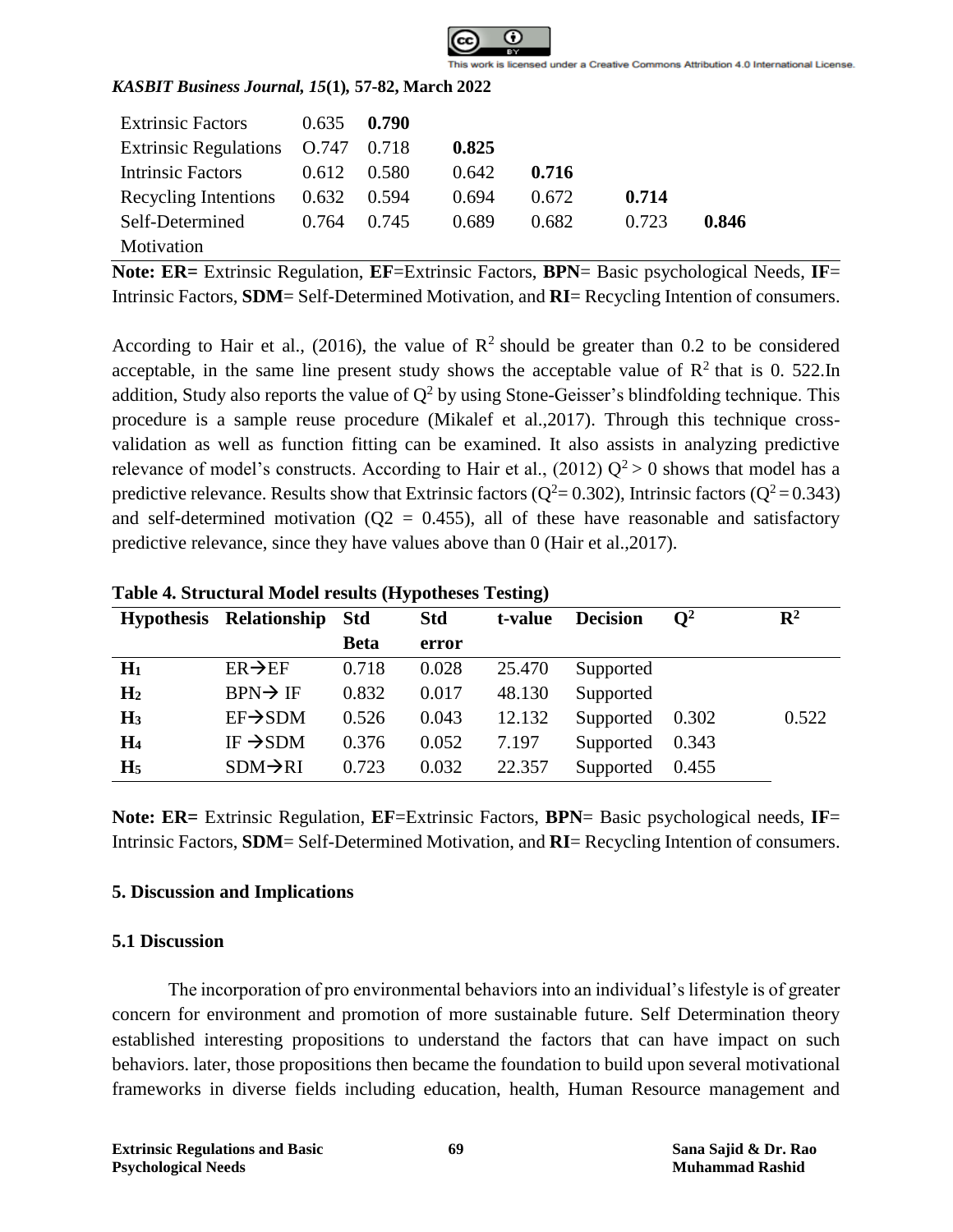

| <b>Extrinsic Factors</b>          | 0.635 | 0.790 |       |       |       |       |
|-----------------------------------|-------|-------|-------|-------|-------|-------|
| Extrinsic Regulations 0.747 0.718 |       |       | 0.825 |       |       |       |
| Intrinsic Factors                 | 0.612 | 0.580 | 0.642 | 0.716 |       |       |
| Recycling Intentions              | 0.632 | 0.594 | 0.694 | 0.672 | 0.714 |       |
| Self-Determined                   | 0.764 | 0.745 | 0.689 | 0.682 | 0.723 | 0.846 |
| Motivation                        |       |       |       |       |       |       |

**Note: ER=** Extrinsic Regulation, **EF**=Extrinsic Factors, **BPN**= Basic psychological Needs, **IF**= Intrinsic Factors, **SDM**= Self-Determined Motivation, and **RI**= Recycling Intention of consumers.

According to Hair et al., (2016), the value of  $\mathbb{R}^2$  should be greater than 0.2 to be considered acceptable, in the same line present study shows the acceptable value of  $\mathbb{R}^2$  that is 0. 522.In addition, Study also reports the value of  $Q^2$  by using Stone-Geisser's blindfolding technique. This procedure is a sample reuse procedure (Mikalef et al.,2017). Through this technique crossvalidation as well as function fitting can be examined. It also assists in analyzing predictive relevance of model's constructs. According to Hair et al., (2012)  $Q^2 > 0$  shows that model has a predictive relevance. Results show that Extrinsic factors ( $Q^2 = 0.302$ ), Intrinsic factors ( $Q^2 = 0.343$ ) and self-determined motivation ( $Q2 = 0.455$ ), all of these have reasonable and satisfactory predictive relevance, since they have values above than 0 (Hair et al.,2017).

|                | Hypothesis Relationship Std |             | <b>Std</b> | t-value | <b>Decision</b> | $\mathbf{O}^2$ | $\mathbf{R}^2$ |
|----------------|-----------------------------|-------------|------------|---------|-----------------|----------------|----------------|
|                |                             | <b>Beta</b> | error      |         |                 |                |                |
| $H_1$          | $ER \rightarrow EF$         | 0.718       | 0.028      | 25.470  | Supported       |                |                |
| H <sub>2</sub> | $BPN \rightarrow IF$        | 0.832       | 0.017      | 48.130  | Supported       |                |                |
| $H_3$          | $EF \rightarrow SDM$        | 0.526       | 0.043      | 12.132  | Supported       | 0.302          | 0.522          |
| H <sub>4</sub> | IF $\rightarrow$ SDM        | 0.376       | 0.052      | 7.197   | Supported       | 0.343          |                |
| H <sub>5</sub> | $SDM \rightarrow RI$        | 0.723       | 0.032      | 22.357  | Supported       | 0.455          |                |
|                |                             |             |            |         |                 |                |                |

**Table 4. Structural Model results (Hypotheses Testing)**

**Note: ER=** Extrinsic Regulation, **EF**=Extrinsic Factors, **BPN**= Basic psychological needs, **IF**= Intrinsic Factors, **SDM**= Self-Determined Motivation, and **RI**= Recycling Intention of consumers.

### **5. Discussion and Implications**

#### **5.1 Discussion**

The incorporation of pro environmental behaviors into an individual's lifestyle is of greater concern for environment and promotion of more sustainable future. Self Determination theory established interesting propositions to understand the factors that can have impact on such behaviors. later, those propositions then became the foundation to build upon several motivational frameworks in diverse fields including education, health, Human Resource management and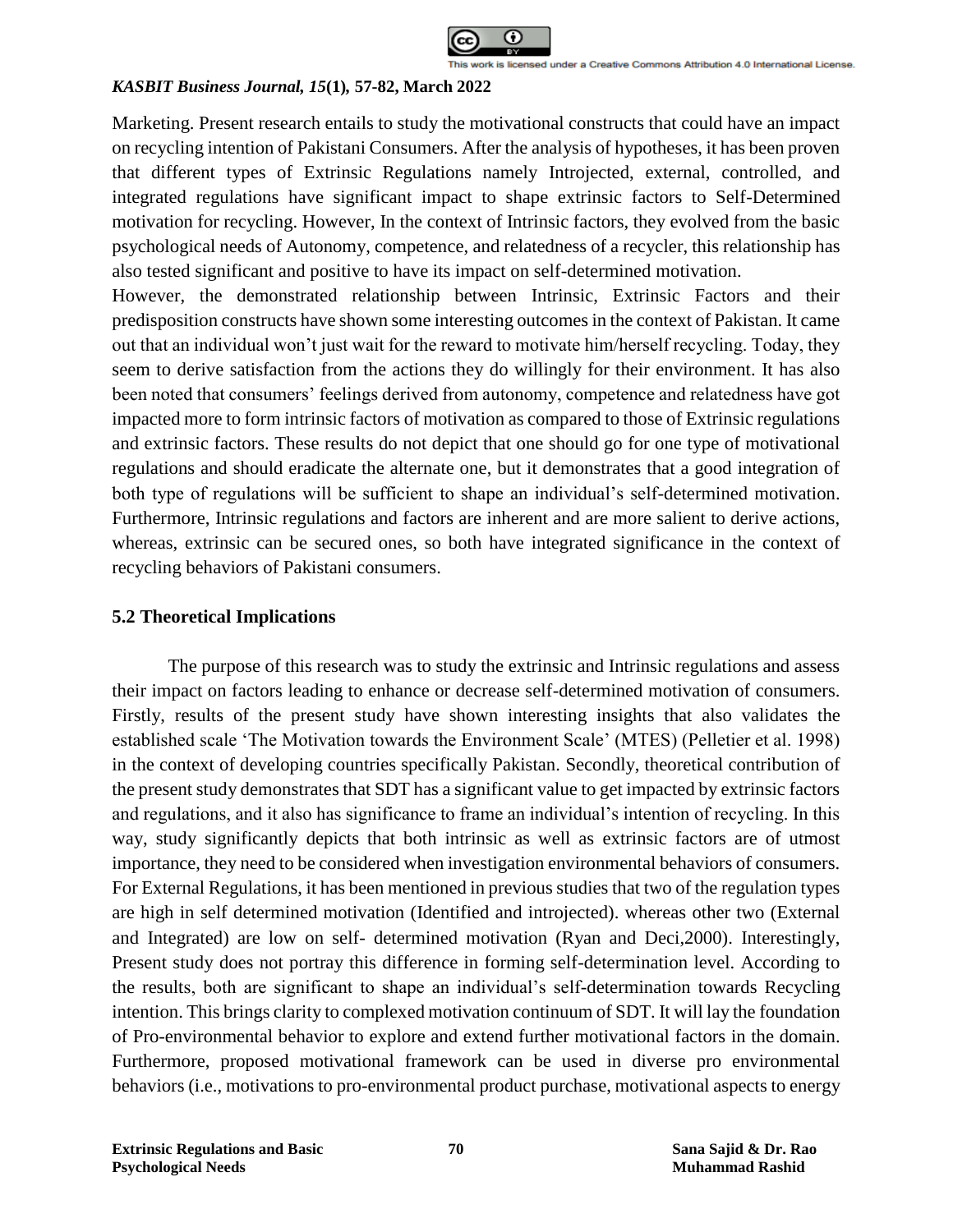

Marketing. Present research entails to study the motivational constructs that could have an impact on recycling intention of Pakistani Consumers. After the analysis of hypotheses, it has been proven that different types of Extrinsic Regulations namely Introjected, external, controlled, and integrated regulations have significant impact to shape extrinsic factors to Self-Determined motivation for recycling. However, In the context of Intrinsic factors, they evolved from the basic psychological needs of Autonomy, competence, and relatedness of a recycler, this relationship has also tested significant and positive to have its impact on self-determined motivation.

However, the demonstrated relationship between Intrinsic, Extrinsic Factors and their predisposition constructs have shown some interesting outcomes in the context of Pakistan. It came out that an individual won't just wait for the reward to motivate him/herself recycling. Today, they seem to derive satisfaction from the actions they do willingly for their environment. It has also been noted that consumers' feelings derived from autonomy, competence and relatedness have got impacted more to form intrinsic factors of motivation as compared to those of Extrinsic regulations and extrinsic factors. These results do not depict that one should go for one type of motivational regulations and should eradicate the alternate one, but it demonstrates that a good integration of both type of regulations will be sufficient to shape an individual's self-determined motivation. Furthermore, Intrinsic regulations and factors are inherent and are more salient to derive actions, whereas, extrinsic can be secured ones, so both have integrated significance in the context of recycling behaviors of Pakistani consumers.

### **5.2 Theoretical Implications**

The purpose of this research was to study the extrinsic and Intrinsic regulations and assess their impact on factors leading to enhance or decrease self-determined motivation of consumers. Firstly, results of the present study have shown interesting insights that also validates the established scale 'The Motivation towards the Environment Scale' (MTES) (Pelletier et al. 1998) in the context of developing countries specifically Pakistan. Secondly, theoretical contribution of the present study demonstrates that SDT has a significant value to get impacted by extrinsic factors and regulations, and it also has significance to frame an individual's intention of recycling. In this way, study significantly depicts that both intrinsic as well as extrinsic factors are of utmost importance, they need to be considered when investigation environmental behaviors of consumers. For External Regulations, it has been mentioned in previous studies that two of the regulation types are high in self determined motivation (Identified and introjected). whereas other two (External and Integrated) are low on self- determined motivation (Ryan and Deci,2000). Interestingly, Present study does not portray this difference in forming self-determination level. According to the results, both are significant to shape an individual's self-determination towards Recycling intention. This brings clarity to complexed motivation continuum of SDT. It will lay the foundation of Pro-environmental behavior to explore and extend further motivational factors in the domain. Furthermore, proposed motivational framework can be used in diverse pro environmental behaviors (i.e., motivations to pro-environmental product purchase, motivational aspects to energy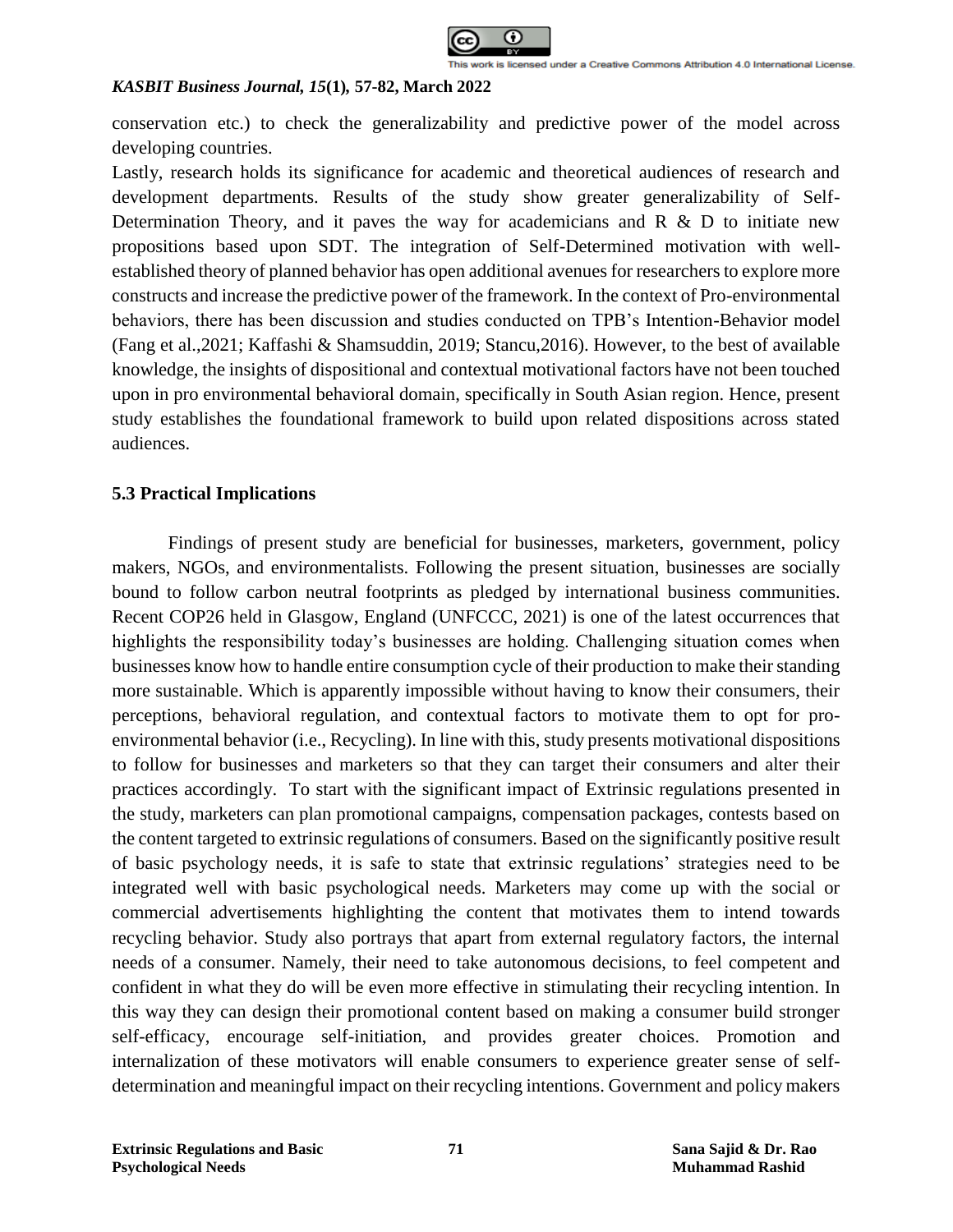

conservation etc.) to check the generalizability and predictive power of the model across developing countries.

Lastly, research holds its significance for academic and theoretical audiences of research and development departments. Results of the study show greater generalizability of Self-Determination Theory, and it paves the way for academicians and  $R \& D$  to initiate new propositions based upon SDT. The integration of Self-Determined motivation with wellestablished theory of planned behavior has open additional avenues for researchers to explore more constructs and increase the predictive power of the framework. In the context of Pro-environmental behaviors, there has been discussion and studies conducted on TPB's Intention-Behavior model (Fang et al.,2021; Kaffashi & Shamsuddin, 2019; Stancu,2016). However, to the best of available knowledge, the insights of dispositional and contextual motivational factors have not been touched upon in pro environmental behavioral domain, specifically in South Asian region. Hence, present study establishes the foundational framework to build upon related dispositions across stated audiences.

#### **5.3 Practical Implications**

Findings of present study are beneficial for businesses, marketers, government, policy makers, NGOs, and environmentalists. Following the present situation, businesses are socially bound to follow carbon neutral footprints as pledged by international business communities. Recent COP26 held in Glasgow, England (UNFCCC, 2021) is one of the latest occurrences that highlights the responsibility today's businesses are holding. Challenging situation comes when businesses know how to handle entire consumption cycle of their production to make their standing more sustainable. Which is apparently impossible without having to know their consumers, their perceptions, behavioral regulation, and contextual factors to motivate them to opt for proenvironmental behavior (i.e., Recycling). In line with this, study presents motivational dispositions to follow for businesses and marketers so that they can target their consumers and alter their practices accordingly. To start with the significant impact of Extrinsic regulations presented in the study, marketers can plan promotional campaigns, compensation packages, contests based on the content targeted to extrinsic regulations of consumers. Based on the significantly positive result of basic psychology needs, it is safe to state that extrinsic regulations' strategies need to be integrated well with basic psychological needs. Marketers may come up with the social or commercial advertisements highlighting the content that motivates them to intend towards recycling behavior. Study also portrays that apart from external regulatory factors, the internal needs of a consumer. Namely, their need to take autonomous decisions, to feel competent and confident in what they do will be even more effective in stimulating their recycling intention. In this way they can design their promotional content based on making a consumer build stronger self-efficacy, encourage self-initiation, and provides greater choices. Promotion and internalization of these motivators will enable consumers to experience greater sense of selfdetermination and meaningful impact on their recycling intentions. Government and policy makers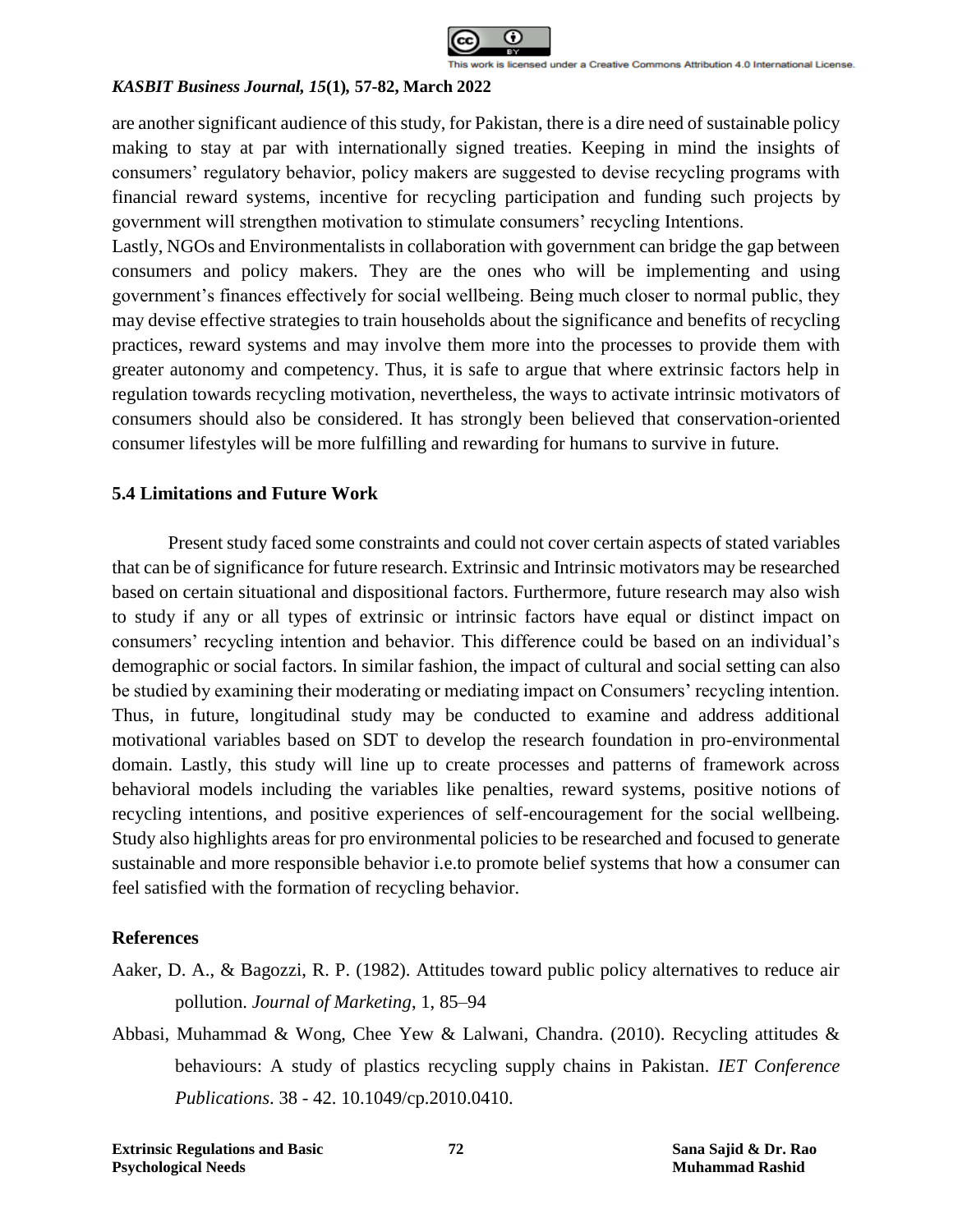

are another significant audience of this study, for Pakistan, there is a dire need of sustainable policy making to stay at par with internationally signed treaties. Keeping in mind the insights of consumers' regulatory behavior, policy makers are suggested to devise recycling programs with financial reward systems, incentive for recycling participation and funding such projects by government will strengthen motivation to stimulate consumers' recycling Intentions.

Lastly, NGOs and Environmentalists in collaboration with government can bridge the gap between consumers and policy makers. They are the ones who will be implementing and using government's finances effectively for social wellbeing. Being much closer to normal public, they may devise effective strategies to train households about the significance and benefits of recycling practices, reward systems and may involve them more into the processes to provide them with greater autonomy and competency. Thus, it is safe to argue that where extrinsic factors help in regulation towards recycling motivation, nevertheless, the ways to activate intrinsic motivators of consumers should also be considered. It has strongly been believed that conservation-oriented consumer lifestyles will be more fulfilling and rewarding for humans to survive in future.

# **5.4 Limitations and Future Work**

Present study faced some constraints and could not cover certain aspects of stated variables that can be of significance for future research. Extrinsic and Intrinsic motivators may be researched based on certain situational and dispositional factors. Furthermore, future research may also wish to study if any or all types of extrinsic or intrinsic factors have equal or distinct impact on consumers' recycling intention and behavior. This difference could be based on an individual's demographic or social factors. In similar fashion, the impact of cultural and social setting can also be studied by examining their moderating or mediating impact on Consumers' recycling intention. Thus, in future, longitudinal study may be conducted to examine and address additional motivational variables based on SDT to develop the research foundation in pro-environmental domain. Lastly, this study will line up to create processes and patterns of framework across behavioral models including the variables like penalties, reward systems, positive notions of recycling intentions, and positive experiences of self-encouragement for the social wellbeing. Study also highlights areas for pro environmental policies to be researched and focused to generate sustainable and more responsible behavior i.e.to promote belief systems that how a consumer can feel satisfied with the formation of recycling behavior.

### **References**

- Aaker, D. A., & Bagozzi, R. P. (1982). Attitudes toward public policy alternatives to reduce air pollution. *Journal of Marketing*, 1, 85–94
- Abbasi, Muhammad & Wong, Chee Yew & Lalwani, Chandra. (2010). Recycling attitudes & behaviours: A study of plastics recycling supply chains in Pakistan*. IET Conference Publications*. 38 - 42. 10.1049/cp.2010.0410.

**Extrinsic Regulations and Basic 72 Sana Sajid & Dr. Rao Psychological Needs Muhammad Rashid**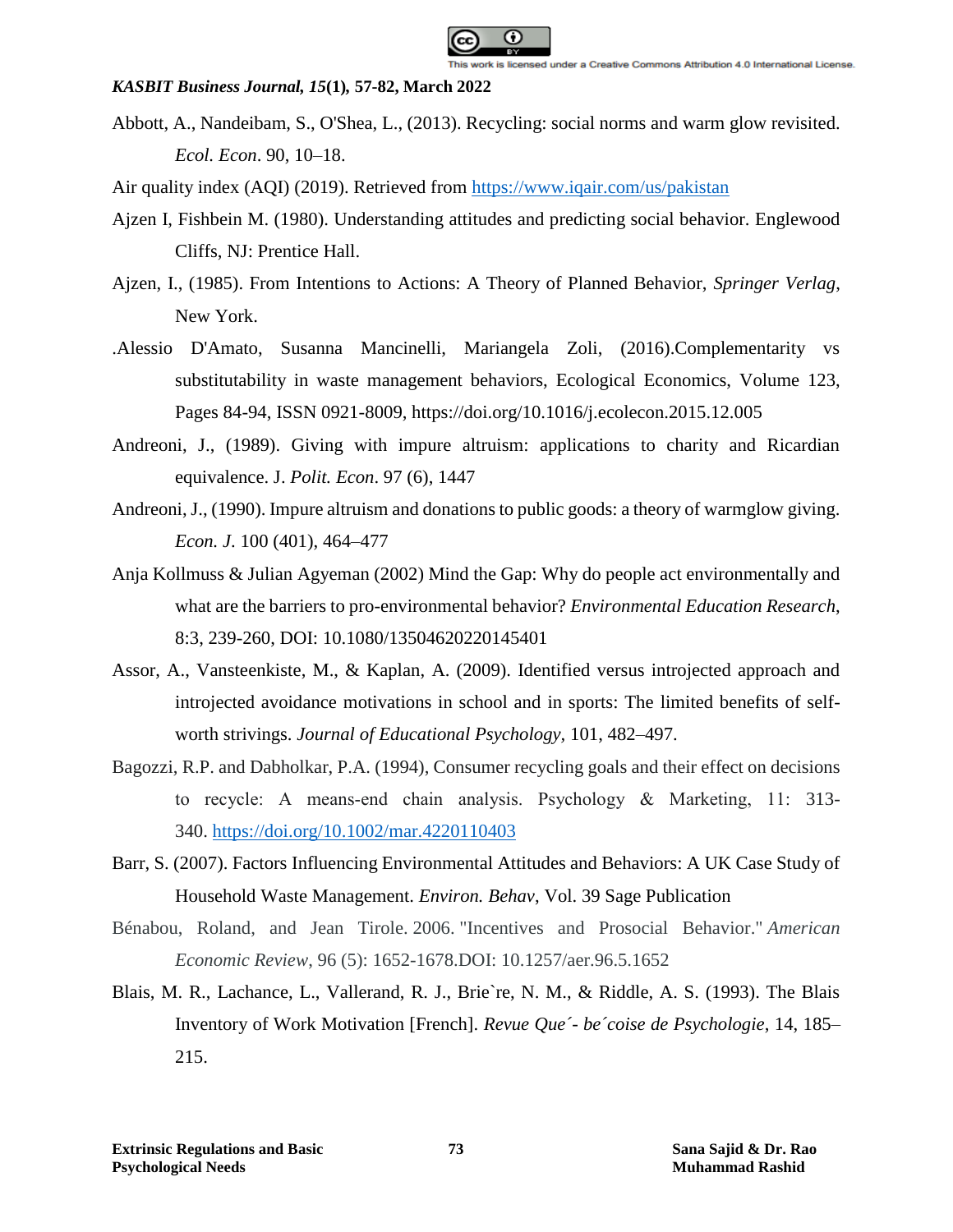

- Abbott, A., Nandeibam, S., O'Shea, L., (2013). Recycling: social norms and warm glow revisited. *Ecol. Econ*. 90, 10–18.
- Air quality index (AQI) (2019). Retrieved from<https://www.iqair.com/us/pakistan>
- Ajzen I, Fishbein M. (1980). Understanding attitudes and predicting social behavior. Englewood Cliffs, NJ: Prentice Hall.
- Ajzen, I., (1985). From Intentions to Actions: A Theory of Planned Behavior, *Springer Verlag*, New York.
- .Alessio D'Amato, Susanna Mancinelli, Mariangela Zoli, (2016).Complementarity vs substitutability in waste management behaviors, Ecological Economics, Volume 123, Pages 84-94, ISSN 0921-8009, https://doi.org/10.1016/j.ecolecon.2015.12.005
- Andreoni, J., (1989). Giving with impure altruism: applications to charity and Ricardian equivalence. J. *Polit. Econ*. 97 (6), 1447
- Andreoni, J., (1990). Impure altruism and donations to public goods: a theory of warmglow giving. *Econ. J*. 100 (401), 464–477
- Anja Kollmuss & Julian Agyeman (2002) Mind the Gap: Why do people act environmentally and what are the barriers to pro-environmental behavior? *Environmental Education Research*, 8:3, 239-260, DOI: 10.1080/13504620220145401
- Assor, A., Vansteenkiste, M., & Kaplan, A. (2009). Identified versus introjected approach and introjected avoidance motivations in school and in sports: The limited benefits of selfworth strivings. *Journal of Educational Psychology,* 101, 482–497.
- Bagozzi, R.P. and Dabholkar, P.A. (1994), Consumer recycling goals and their effect on decisions to recycle: A means‐end chain analysis. Psychology & Marketing, 11: 313- 340. <https://doi.org/10.1002/mar.4220110403>
- Barr, S. (2007). Factors Influencing Environmental Attitudes and Behaviors: A UK Case Study of Household Waste Management. *Environ. Behav*, Vol. 39 Sage Publication
- Bénabou, Roland, and Jean Tirole. 2006. "Incentives and Prosocial Behavior." *American Economic Review*, 96 (5): 1652-1678.DOI: 10.1257/aer.96.5.1652
- Blais, M. R., Lachance, L., Vallerand, R. J., Brie`re, N. M., & Riddle, A. S. (1993). The Blais Inventory of Work Motivation [French]. *Revue Que´- be´coise de Psychologie*, 14, 185– 215.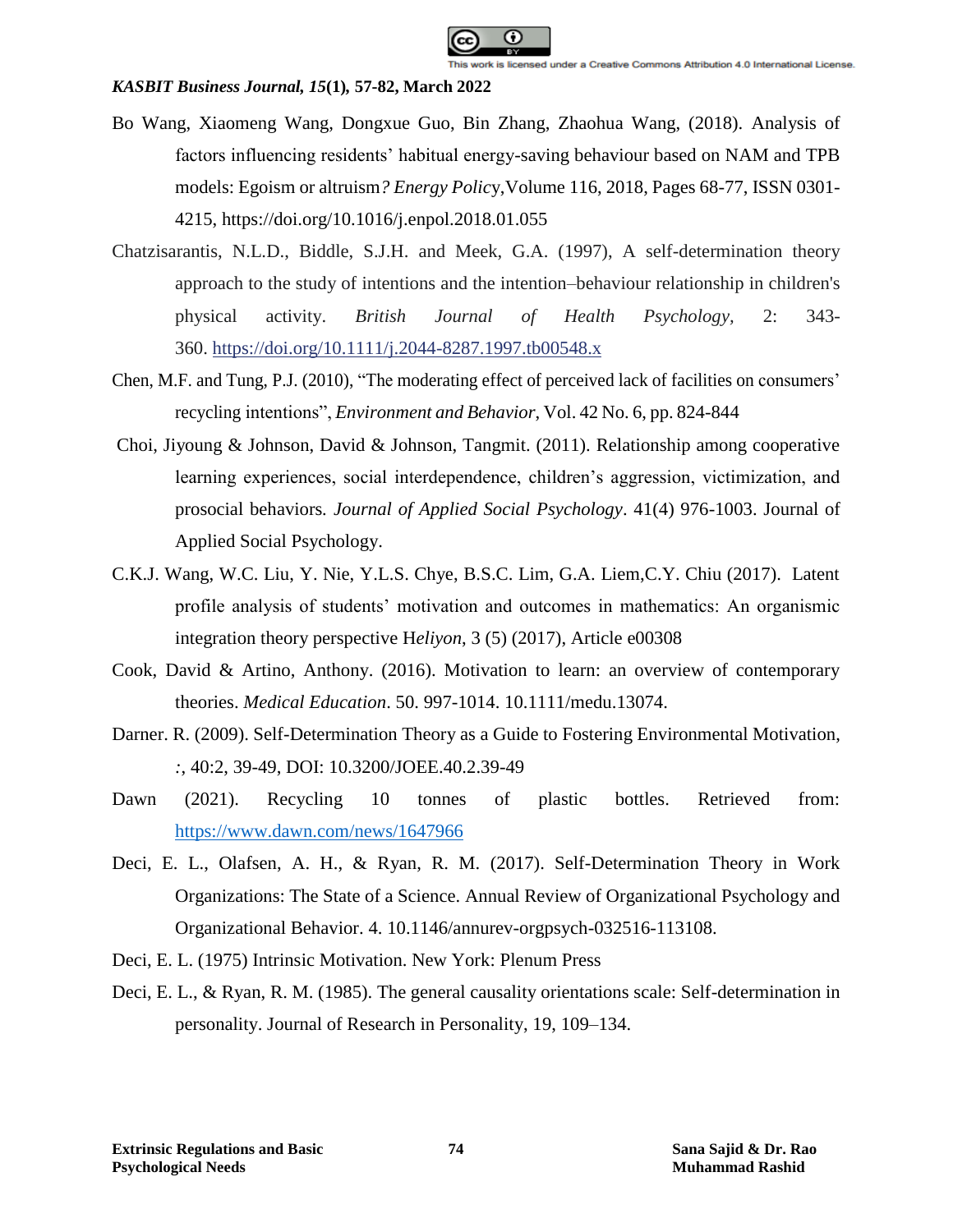

- Bo Wang, Xiaomeng Wang, Dongxue Guo, Bin Zhang, Zhaohua Wang, (2018). Analysis of factors influencing residents' habitual energy-saving behaviour based on NAM and TPB models: Egoism or altruism*? Energy Polic*y,Volume 116, 2018, Pages 68-77, ISSN 0301- 4215, https://doi.org/10.1016/j.enpol.2018.01.055
- Chatzisarantis, N.L.D., Biddle, S.J.H. and Meek, G.A. (1997), A self-determination theory approach to the study of intentions and the intention–behaviour relationship in children's physical activity. *British Journal of Health Psychology,* 2: 343- 360. <https://doi.org/10.1111/j.2044-8287.1997.tb00548.x>
- Chen, M.F. and Tung, P.J. (2010), "The moderating effect of perceived lack of facilities on consumers' recycling intentions", *Environment and Behavior*, Vol. 42 No. 6, pp. 824-844
- Choi, Jiyoung & Johnson, David & Johnson, Tangmit. (2011). Relationship among cooperative learning experiences, social interdependence, children's aggression, victimization, and prosocial behaviors*. Journal of Applied Social Psychology*. 41(4) 976-1003. Journal of Applied Social Psychology.
- C.K.J. Wang, W.C. Liu, Y. Nie, Y.L.S. Chye, B.S.C. Lim, G.A. Liem,C.Y. Chiu (2017). Latent profile analysis of students' motivation and outcomes in mathematics: An organismic integration theory perspective H*eliyon*, 3 (5) (2017), Article e00308
- Cook, David & Artino, Anthony. (2016). Motivation to learn: an overview of contemporary theories. *Medical Education*. 50. 997-1014. 10.1111/medu.13074.
- Darner. R. (2009). Self-Determination Theory as a Guide to Fostering Environmental Motivation, *:*, 40:2, 39-49, DOI: 10.3200/JOEE.40.2.39-49
- Dawn (2021). Recycling 10 tonnes of plastic bottles. Retrieved from: <https://www.dawn.com/news/1647966>
- Deci, E. L., Olafsen, A. H., & Ryan, R. M. (2017). Self-Determination Theory in Work Organizations: The State of a Science. Annual Review of Organizational Psychology and Organizational Behavior. 4. 10.1146/annurev-orgpsych-032516-113108.
- Deci, E. L. (1975) Intrinsic Motivation. New York: Plenum Press
- Deci, E. L., & Ryan, R. M. (1985). The general causality orientations scale: Self-determination in personality. Journal of Research in Personality, 19, 109–134.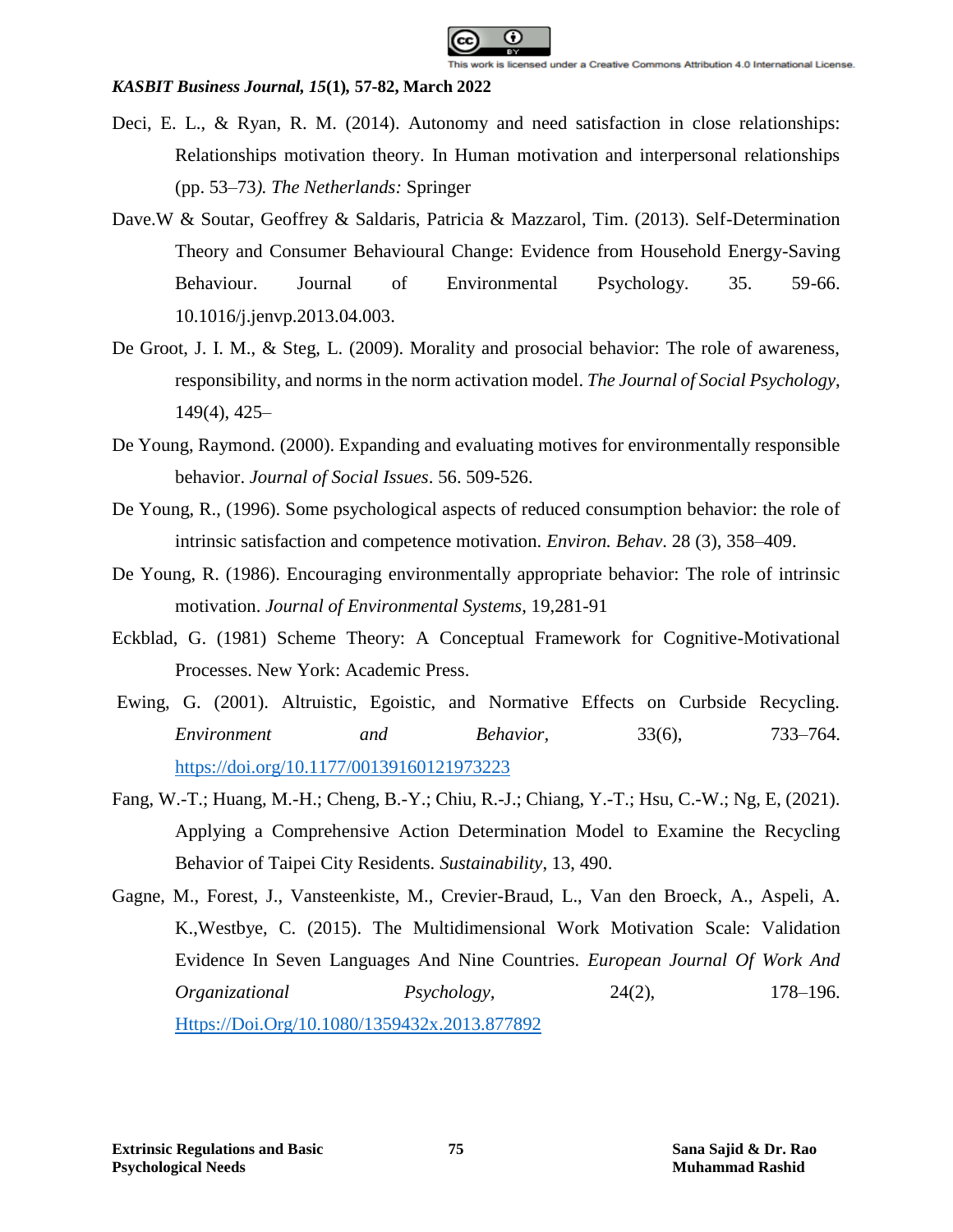

- Deci, E. L., & Ryan, R. M. (2014). Autonomy and need satisfaction in close relationships: Relationships motivation theory. In Human motivation and interpersonal relationships (pp. 53–73*). The Netherlands:* Springer
- Dave.W & Soutar, Geoffrey & Saldaris, Patricia & Mazzarol, Tim. (2013). Self-Determination Theory and Consumer Behavioural Change: Evidence from Household Energy-Saving Behaviour. Journal of Environmental Psychology. 35. 59-66. 10.1016/j.jenvp.2013.04.003.
- De Groot, J. I. M., & Steg, L. (2009). Morality and prosocial behavior: The role of awareness, responsibility, and norms in the norm activation model. *The Journal of Social Psychology*, 149(4), 425–
- De Young, Raymond. (2000). Expanding and evaluating motives for environmentally responsible behavior. *Journal of Social Issues*. 56. 509-526.
- De Young, R., (1996). Some psychological aspects of reduced consumption behavior: the role of intrinsic satisfaction and competence motivation. *Environ. Behav*. 28 (3), 358–409.
- De Young, R. (1986). Encouraging environmentally appropriate behavior: The role of intrinsic motivation. *Journal of Environmental Systems*, 19,281-91
- Eckblad, G. (1981) Scheme Theory: A Conceptual Framework for Cognitive-Motivational Processes. New York: Academic Press.
- Ewing, G. (2001). Altruistic, Egoistic, and Normative Effects on Curbside Recycling. *Environment and Behavior,* 33(6), 733–764. <https://doi.org/10.1177/00139160121973223>
- Fang, W.-T.; Huang, M.-H.; Cheng, B.-Y.; Chiu, R.-J.; Chiang, Y.-T.; Hsu, C.-W.; Ng, E, (2021). Applying a Comprehensive Action Determination Model to Examine the Recycling Behavior of Taipei City Residents. *Sustainability*, 13, 490.
- Gagne, M., Forest, J., Vansteenkiste, M., Crevier-Braud, L., Van den Broeck, A., Aspeli, A. K.,Westbye, C. (2015). The Multidimensional Work Motivation Scale: Validation Evidence In Seven Languages And Nine Countries. *European Journal Of Work And Organizational Psychology,* 24(2), 178–196. [Https://Doi.Org/10.1080/1359432x.2013.877892](https://doi.org/10.1080/1359432x.2013.877892)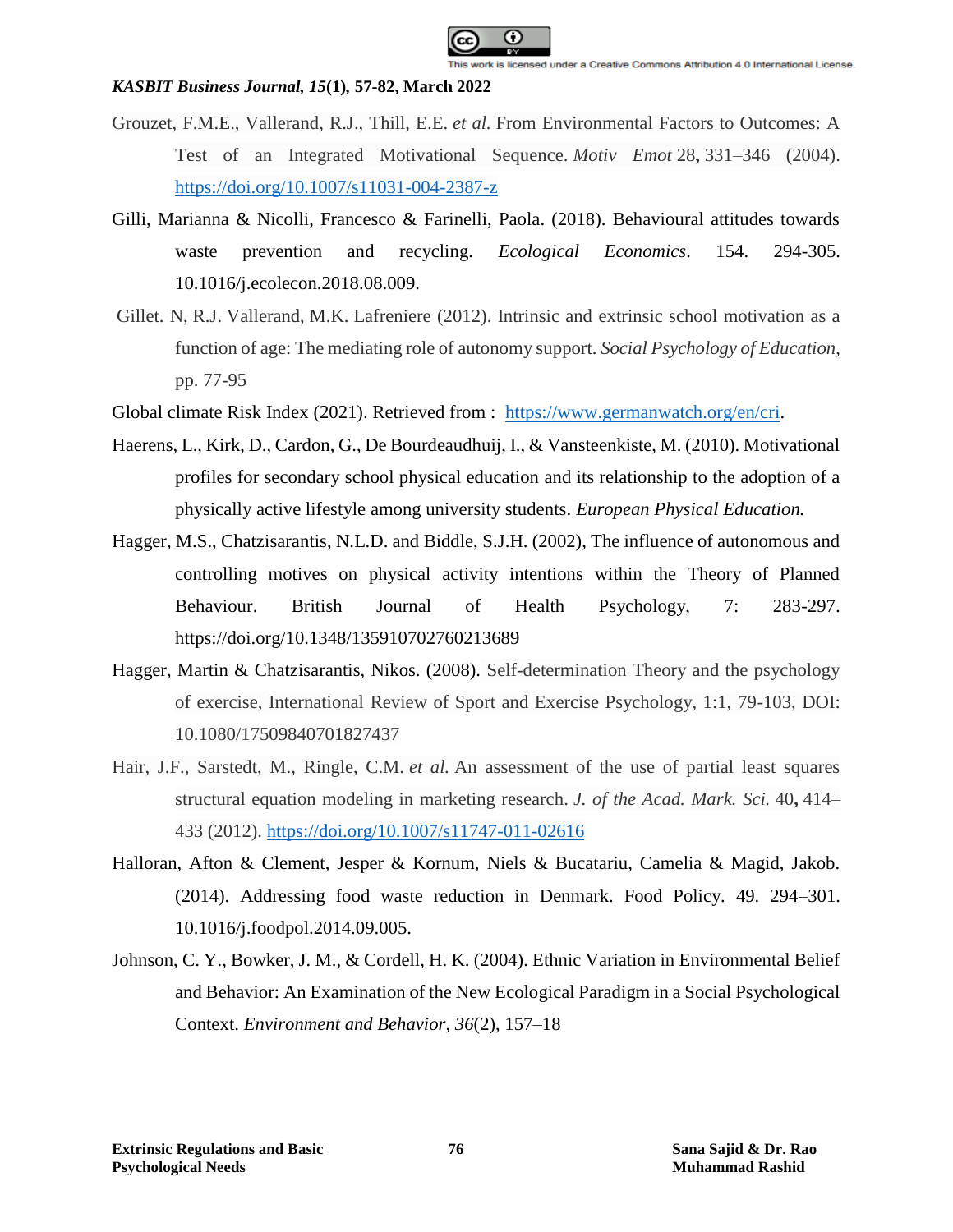

- Grouzet, F.M.E., Vallerand, R.J., Thill, E.E. *et al.* From Environmental Factors to Outcomes: A Test of an Integrated Motivational Sequence. *Motiv Emot* 28**,** 331–346 (2004). <https://doi.org/10.1007/s11031-004-2387-z>
- Gilli, Marianna & Nicolli, Francesco & Farinelli, Paola. (2018). Behavioural attitudes towards waste prevention and recycling. *Ecological Economics*. 154. 294-305. 10.1016/j.ecolecon.2018.08.009.
- Gillet. N, R.J. Vallerand, M.K. Lafreniere (2012). Intrinsic and extrinsic school motivation as a function of age: The mediating role of autonomy support. *Social Psychology of Education*, pp. 77-95
- Global climate Risk Index (2021). Retrieved from : [https://www.germanwatch.org/en/cri.](https://www.germanwatch.org/en/cri)
- Haerens, L., Kirk, D., Cardon, G., De Bourdeaudhuij, I., & Vansteenkiste, M. (2010). Motivational profiles for secondary school physical education and its relationship to the adoption of a physically active lifestyle among university students. *European Physical Education.*
- Hagger, M.S., Chatzisarantis, N.L.D. and Biddle, S.J.H. (2002), The influence of autonomous and controlling motives on physical activity intentions within the Theory of Planned Behaviour. British Journal of Health Psychology, 7: 283-297. https://doi.org/10.1348/135910702760213689
- Hagger, Martin & Chatzisarantis, Nikos. (2008). Self-determination Theory and the psychology of exercise, International Review of Sport and Exercise Psychology, 1:1, 79-103, DOI: 10.1080/17509840701827437
- Hair, J.F., Sarstedt, M., Ringle, C.M. *et al.* An assessment of the use of partial least squares structural equation modeling in marketing research. *J. of the Acad. Mark. Sci.* 40**,** 414– 433 (2012).<https://doi.org/10.1007/s11747-011-02616>
- Halloran, Afton & Clement, Jesper & Kornum, Niels & Bucatariu, Camelia & Magid, Jakob. (2014). Addressing food waste reduction in Denmark. Food Policy. 49. 294–301. 10.1016/j.foodpol.2014.09.005.
- Johnson, C. Y., Bowker, J. M., & Cordell, H. K. (2004). Ethnic Variation in Environmental Belief and Behavior: An Examination of the New Ecological Paradigm in a Social Psychological Context. *Environment and Behavior*, *36*(2), 157–18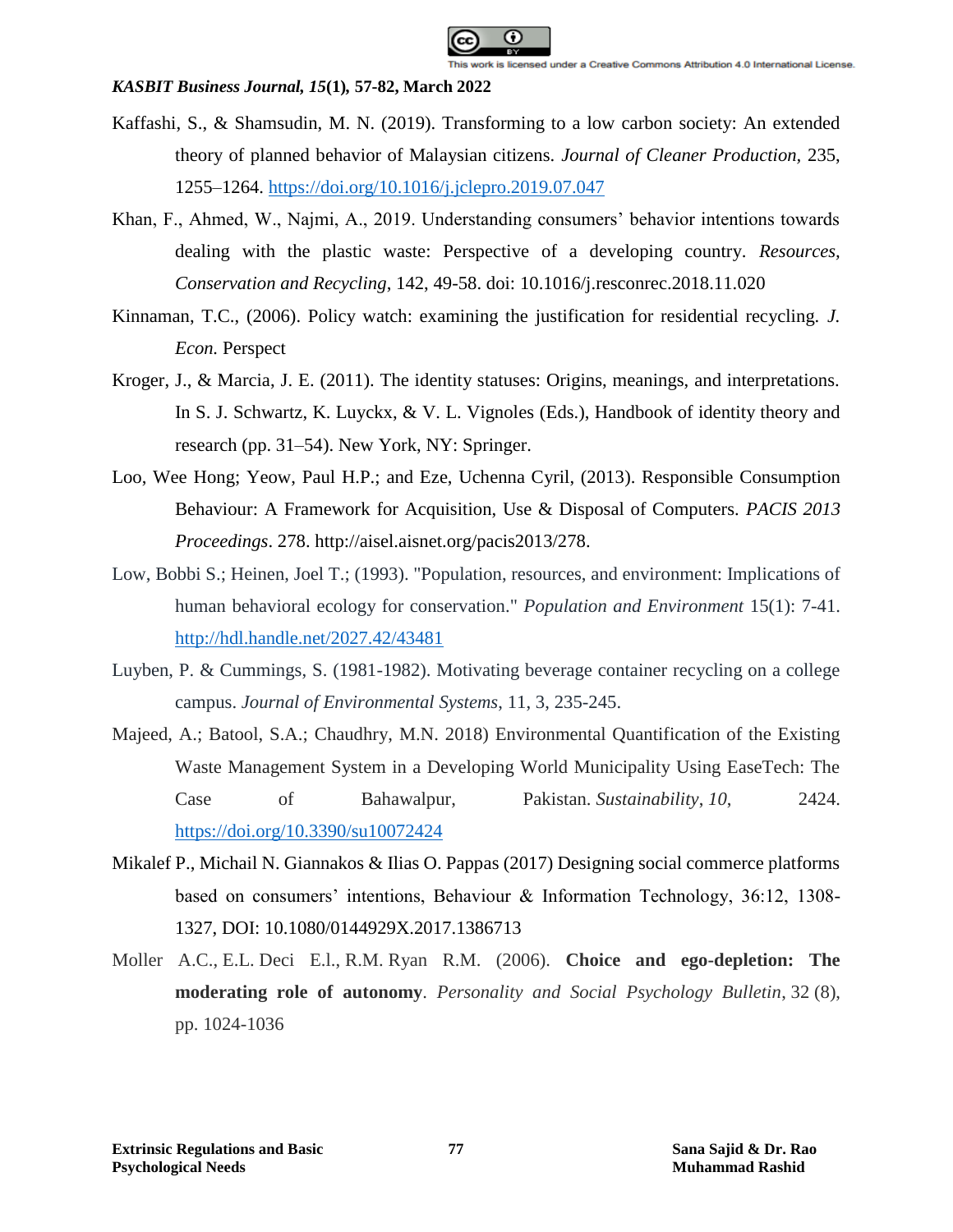

- Kaffashi, S., & Shamsudin, M. N. (2019). Transforming to a low carbon society: An extended theory of planned behavior of Malaysian citizens. *Journal of Cleaner Production,* 235, 1255–1264.<https://doi.org/10.1016/j.jclepro.2019.07.047>
- Khan, F., Ahmed, W., Najmi, A., 2019. Understanding consumers' behavior intentions towards dealing with the plastic waste: Perspective of a developing country. *Resources, Conservation and Recycling*, 142, 49-58. doi: 10.1016/j.resconrec.2018.11.020
- Kinnaman, T.C., (2006). Policy watch: examining the justification for residential recycling. *J. Econ.* Perspect
- Kroger, J., & Marcia, J. E. (2011). The identity statuses: Origins, meanings, and interpretations. In S. J. Schwartz, K. Luyckx, & V. L. Vignoles (Eds.), Handbook of identity theory and research (pp. 31–54). New York, NY: Springer.
- Loo, Wee Hong; Yeow, Paul H.P.; and Eze, Uchenna Cyril, (2013). Responsible Consumption Behaviour: A Framework for Acquisition, Use & Disposal of Computers. *PACIS 2013 Proceedings*. 278. http://aisel.aisnet.org/pacis2013/278.
- Low, Bobbi S.; Heinen, Joel T.; (1993). "Population, resources, and environment: Implications of human behavioral ecology for conservation." *Population and Environment* 15(1): 7-41. <http://hdl.handle.net/2027.42/43481>
- Luyben, P. & Cummings, S. (1981-1982). Motivating beverage container recycling on a college campus. *Journal of Environmental Systems*, 11, 3, 235-245.
- Majeed, A.; Batool, S.A.; Chaudhry, M.N. 2018) Environmental Quantification of the Existing Waste Management System in a Developing World Municipality Using EaseTech: The Case of Bahawalpur, Pakistan. *Sustainability*, *10*, 2424. <https://doi.org/10.3390/su10072424>
- Mikalef P., Michail N. Giannakos & Ilias O. Pappas (2017) Designing social commerce platforms based on consumers' intentions, Behaviour & Information Technology, 36:12, 1308- 1327, DOI: 10.1080/0144929X.2017.1386713
- Moller A.C., E.L. Deci E.l., R.M. Ryan R.M. (2006). **Choice and ego-depletion: The moderating role of autonomy**. *Personality and Social Psychology Bulletin*, 32 (8), pp. 1024-1036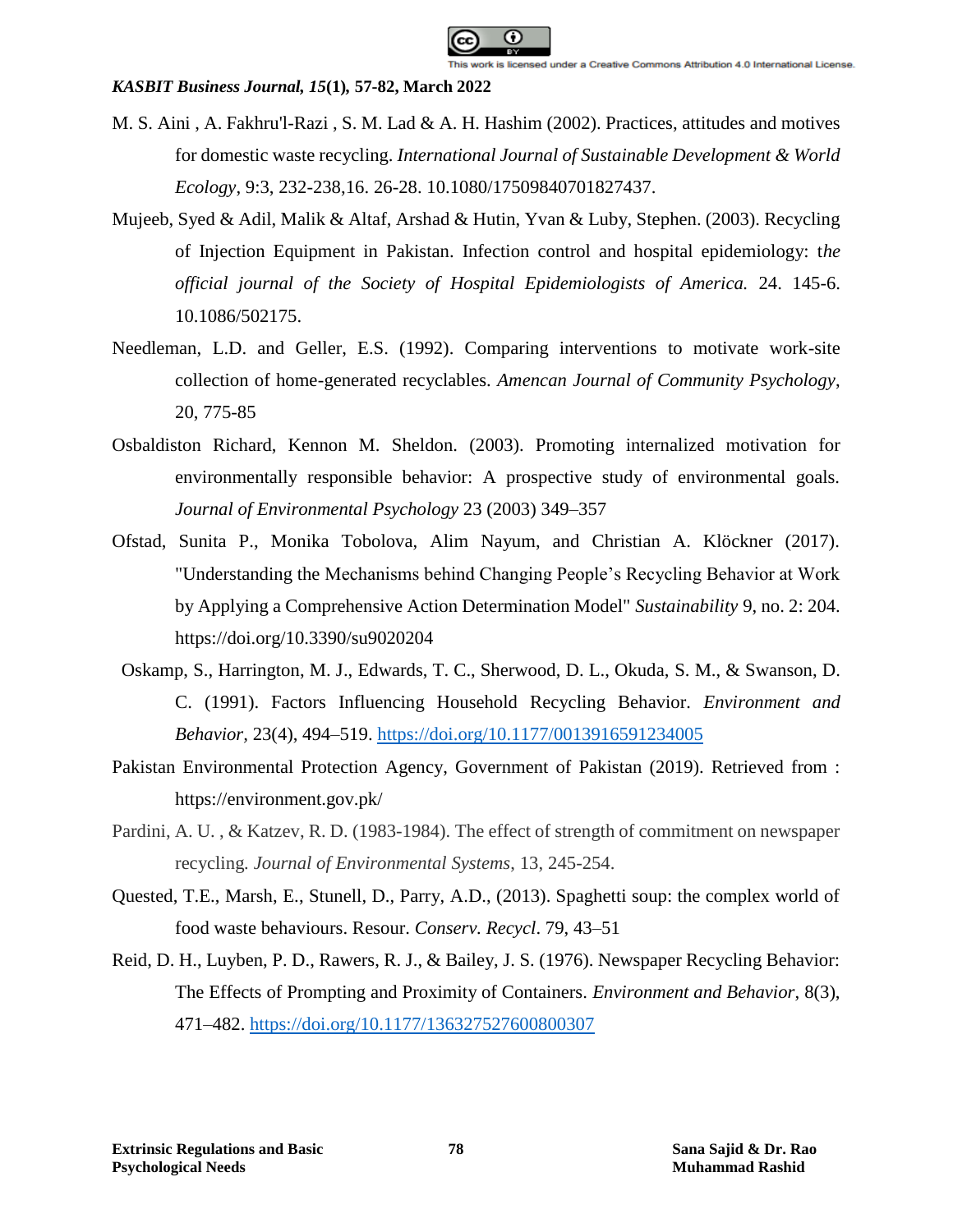

- M. S. Aini , A. Fakhru'l-Razi , S. M. Lad & A. H. Hashim (2002). Practices, attitudes and motives for domestic waste recycling. *International Journal of Sustainable Development & World Ecology*, 9:3, 232-238,16. 26-28. 10.1080/17509840701827437.
- Mujeeb, Syed & Adil, Malik & Altaf, Arshad & Hutin, Yvan & Luby, Stephen. (2003). Recycling of Injection Equipment in Pakistan. Infection control and hospital epidemiology: t*he official journal of the Society of Hospital Epidemiologists of America.* 24. 145-6. 10.1086/502175.
- Needleman, L.D. and Geller, E.S. (1992). Comparing interventions to motivate work-site collection of home-generated recyclables. *Amencan Journal of Community Psychology*, 20, 775-85
- Osbaldiston Richard, Kennon M. Sheldon. (2003). Promoting internalized motivation for environmentally responsible behavior: A prospective study of environmental goals. *Journal of Environmental Psychology* 23 (2003) 349–357
- Ofstad, Sunita P., Monika Tobolova, Alim Nayum, and Christian A. Klöckner (2017). "Understanding the Mechanisms behind Changing People's Recycling Behavior at Work by Applying a Comprehensive Action Determination Model" *Sustainability* 9, no. 2: 204. https://doi.org/10.3390/su9020204
- Oskamp, S., Harrington, M. J., Edwards, T. C., Sherwood, D. L., Okuda, S. M., & Swanson, D. C. (1991). Factors Influencing Household Recycling Behavior*. Environment and Behavior,* 23(4), 494–519.<https://doi.org/10.1177/0013916591234005>
- Pakistan Environmental Protection Agency, Government of Pakistan (2019). Retrieved from : https://environment.gov.pk/
- Pardini, A. U., & Katzev, R. D. (1983-1984). The effect of strength of commitment on newspaper recycling*. Journal of Environmental Systems*, 13, 245-254.
- Quested, T.E., Marsh, E., Stunell, D., Parry, A.D., (2013). Spaghetti soup: the complex world of food waste behaviours. Resour. *Conserv. Recycl*. 79, 43–51
- Reid, D. H., Luyben, P. D., Rawers, R. J., & Bailey, J. S. (1976). Newspaper Recycling Behavior: The Effects of Prompting and Proximity of Containers. *Environment and Behavior*, 8(3), 471–482.<https://doi.org/10.1177/136327527600800307>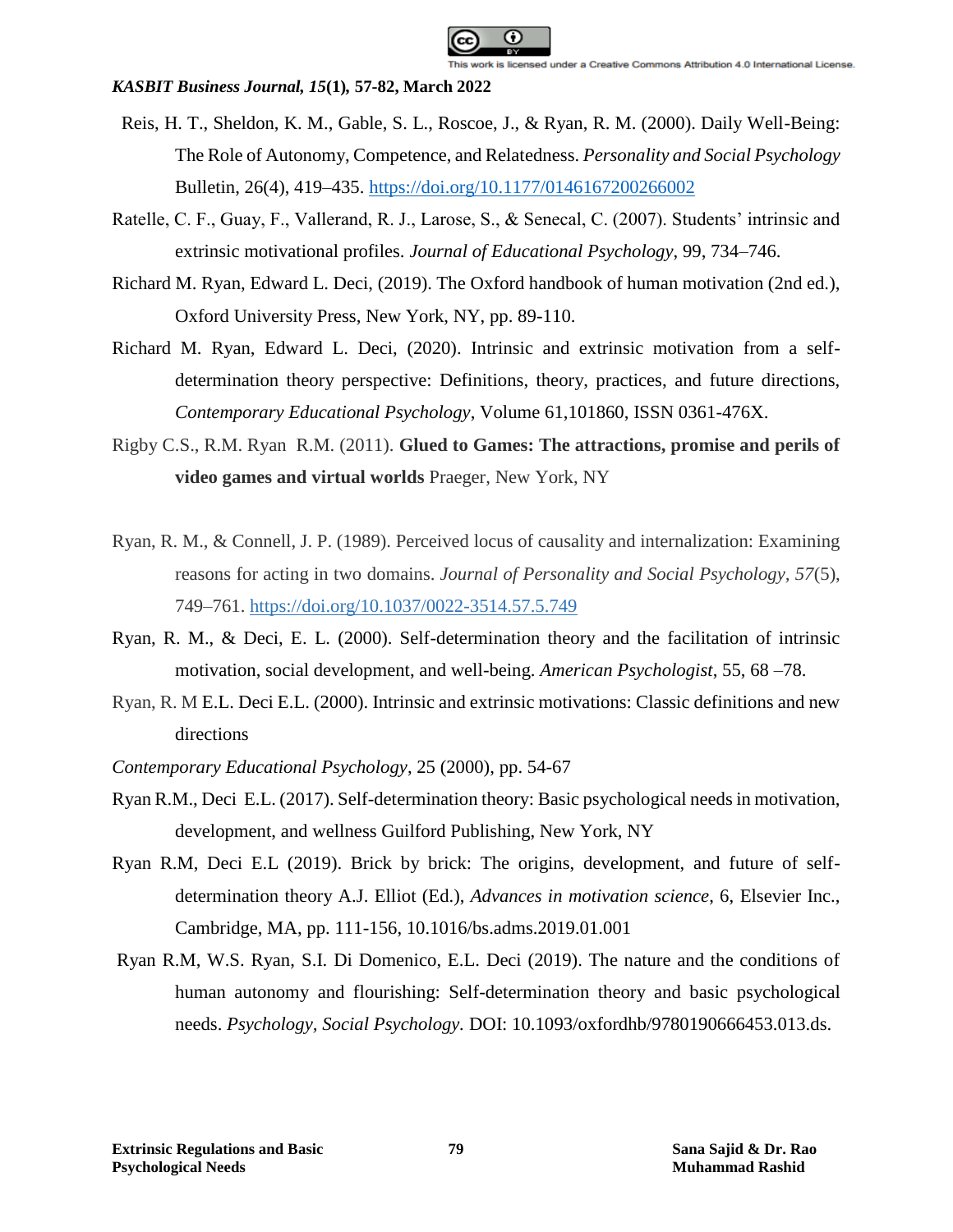

- Reis, H. T., Sheldon, K. M., Gable, S. L., Roscoe, J., & Ryan, R. M. (2000). Daily Well-Being: The Role of Autonomy, Competence, and Relatedness. *Personality and Social Psychology* Bulletin, 26(4), 419–435.<https://doi.org/10.1177/0146167200266002>
- Ratelle, C. F., Guay, F., Vallerand, R. J., Larose, S., & Senecal, C. (2007). Students' intrinsic and extrinsic motivational profiles. *Journal of Educational Psychology*, 99, 734–746.
- Richard M. Ryan, Edward L. Deci, (2019). The Oxford handbook of human motivation (2nd ed.), Oxford University Press, New York, NY, pp. 89-110.
- Richard M. Ryan, Edward L. Deci, (2020). Intrinsic and extrinsic motivation from a selfdetermination theory perspective: Definitions, theory, practices, and future directions, *Contemporary Educational Psychology*, Volume 61,101860, ISSN 0361-476X.
- Rigby C.S., R.M. Ryan R.M. (2011). **Glued to Games: The attractions, promise and perils of video games and virtual worlds** Praeger, New York, NY
- Ryan, R. M., & Connell, J. P. (1989). Perceived locus of causality and internalization: Examining reasons for acting in two domains. *Journal of Personality and Social Psychology, 57*(5), 749–761. [https://doi.org/10.1037/0022-3514.57.5.749](https://psycnet.apa.org/doi/10.1037/0022-3514.57.5.749)
- Ryan, R. M., & Deci, E. L. (2000). Self-determination theory and the facilitation of intrinsic motivation, social development, and well-being. *American Psychologist*, 55, 68 –78.
- Ryan, R. M E.L. Deci E.L. (2000). Intrinsic and extrinsic motivations: Classic definitions and new directions
- *Contemporary Educational Psychology*, 25 (2000), pp. 54-67
- Ryan R.M., Deci E.L. (2017). Self-determination theory: Basic psychological needs in motivation, development, and wellness Guilford Publishing, New York, NY
- Ryan R.M, Deci E.L (2019). Brick by brick: The origins, development, and future of selfdetermination theory A.J. Elliot (Ed.), *Advances in motivation science*, 6, Elsevier Inc., Cambridge, MA, pp. 111-156, 10.1016/bs.adms.2019.01.001
- Ryan R.M, W.S. Ryan, S.I. Di Domenico, E.L. Deci (2019). The nature and the conditions of human autonomy and flourishing: Self-determination theory and basic psychological needs. *Psychology, Social Psychology.* DOI: 10.1093/oxfordhb/9780190666453.013.ds.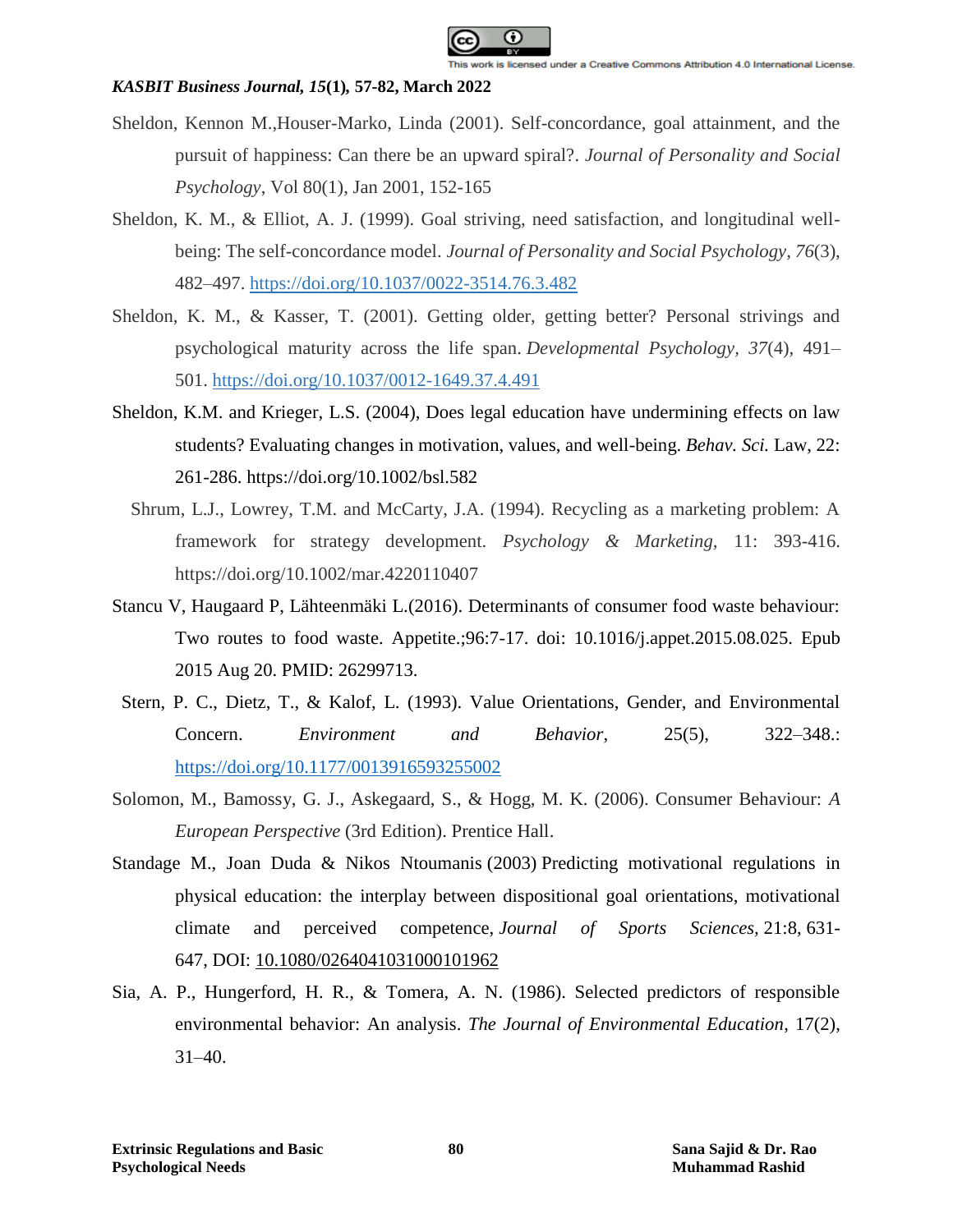

- Sheldon, Kennon M.,Houser-Marko, Linda (2001). Self-concordance, goal attainment, and the pursuit of happiness: Can there be an upward spiral?. *Journal of Personality and Social Psychology*, Vol 80(1), Jan 2001, 152-165
- Sheldon, K. M., & Elliot, A. J. (1999). Goal striving, need satisfaction, and longitudinal wellbeing: The self-concordance model. *Journal of Personality and Social Psychology, 76*(3), 482–497. [https://doi.org/10.1037/0022-3514.76.3.482](https://psycnet.apa.org/doi/10.1037/0022-3514.76.3.482)
- Sheldon, K. M., & Kasser, T. (2001). Getting older, getting better? Personal strivings and psychological maturity across the life span. *Developmental Psychology, 37*(4), 491– 501. [https://doi.org/10.1037/0012-1649.37.4.491](https://psycnet.apa.org/doi/10.1037/0012-1649.37.4.491)
- Sheldon, K.M. and Krieger, L.S. (2004), Does legal education have undermining effects on law students? Evaluating changes in motivation, values, and well-being. *Behav. Sci.* Law, 22: 261-286. https://doi.org/10.1002/bsl.582
	- Shrum, L.J., Lowrey, T.M. and McCarty, J.A. (1994). Recycling as a marketing problem: A framework for strategy development. *Psychology & Marketing,* 11: 393-416. https://doi.org/10.1002/mar.4220110407
- Stancu V, Haugaard P, Lähteenmäki L.(2016). Determinants of consumer food waste behaviour: Two routes to food waste. Appetite.;96:7-17. doi: 10.1016/j.appet.2015.08.025. Epub 2015 Aug 20. PMID: 26299713.
- Stern, P. C., Dietz, T., & Kalof, L. (1993). Value Orientations, Gender, and Environmental Concern. *Environment and Behavior*, 25(5), 322–348.: <https://doi.org/10.1177/0013916593255002>
- Solomon, M., Bamossy, G. J., Askegaard, S., & Hogg, M. K. (2006). Consumer Behaviour: *A European Perspective* (3rd Edition). Prentice Hall.
- Standage M., Joan Duda & Nikos Ntoumanis (2003) Predicting motivational regulations in physical education: the interplay between dispositional goal orientations, motivational climate and perceived competence, *Journal of Sports Sciences,* 21:8, 631- 647, DOI: [10.1080/0264041031000101962](https://doi.org/10.1080/0264041031000101962)
- Sia, A. P., Hungerford, H. R., & Tomera, A. N. (1986). Selected predictors of responsible environmental behavior: An analysis. *The Journal of Environmental Education*, 17(2), 31–40.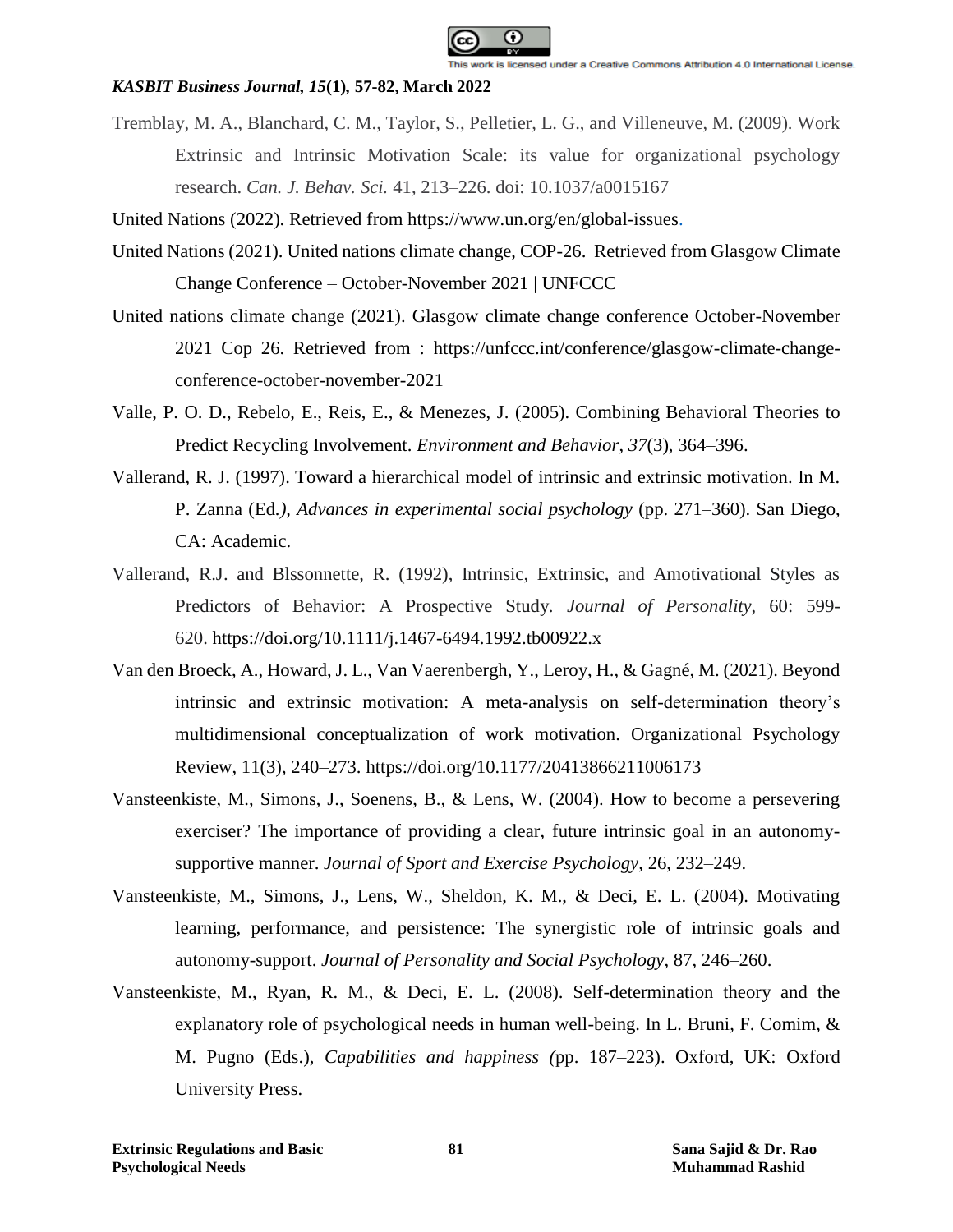

- Tremblay, M. A., Blanchard, C. M., Taylor, S., Pelletier, L. G., and Villeneuve, M. (2009). Work Extrinsic and Intrinsic Motivation Scale: its value for organizational psychology research. *Can. J. Behav. Sci.* 41, 213–226. doi: 10.1037/a0015167
- United Nations (2022). Retrieved from https://www.un.org/en/global-issues.
- United Nations (2021). United nations climate change, COP-26. Retrieved from Glasgow Climate Change Conference – October-November 2021 | UNFCCC
- United nations climate change (2021). Glasgow climate change conference October-November 2021 Cop 26. Retrieved from : https://unfccc.int/conference/glasgow-climate-changeconference-october-november-2021
- Valle, P. O. D., Rebelo, E., Reis, E., & Menezes, J. (2005). Combining Behavioral Theories to Predict Recycling Involvement. *Environment and Behavior*, *37*(3), 364–396.
- Vallerand, R. J. (1997). Toward a hierarchical model of intrinsic and extrinsic motivation. In M. P. Zanna (Ed*.), Advances in experimental social psychology* (pp. 271–360). San Diego, CA: Academic.
- Vallerand, R.J. and Blssonnette, R. (1992), Intrinsic, Extrinsic, and Amotivational Styles as Predictors of Behavior: A Prospective Study. *Journal of Personality*, 60: 599- 620. https://doi.org/10.1111/j.1467-6494.1992.tb00922.x
- Van den Broeck, A., Howard, J. L., Van Vaerenbergh, Y., Leroy, H., & Gagné, M. (2021). Beyond intrinsic and extrinsic motivation: A meta-analysis on self-determination theory's multidimensional conceptualization of work motivation. Organizational Psychology Review, 11(3), 240–273. https://doi.org/10.1177/20413866211006173
- Vansteenkiste, M., Simons, J., Soenens, B., & Lens, W. (2004). How to become a persevering exerciser? The importance of providing a clear, future intrinsic goal in an autonomysupportive manner. *Journal of Sport and Exercise Psychology*, 26, 232–249.
- Vansteenkiste, M., Simons, J., Lens, W., Sheldon, K. M., & Deci, E. L. (2004). Motivating learning, performance, and persistence: The synergistic role of intrinsic goals and autonomy-support. *Journal of Personality and Social Psychology*, 87, 246–260.
- Vansteenkiste, M., Ryan, R. M., & Deci, E. L. (2008). Self-determination theory and the explanatory role of psychological needs in human well-being. In L. Bruni, F. Comim, & M. Pugno (Eds.), *Capabilities and happiness (*pp. 187–223). Oxford, UK: Oxford University Press.